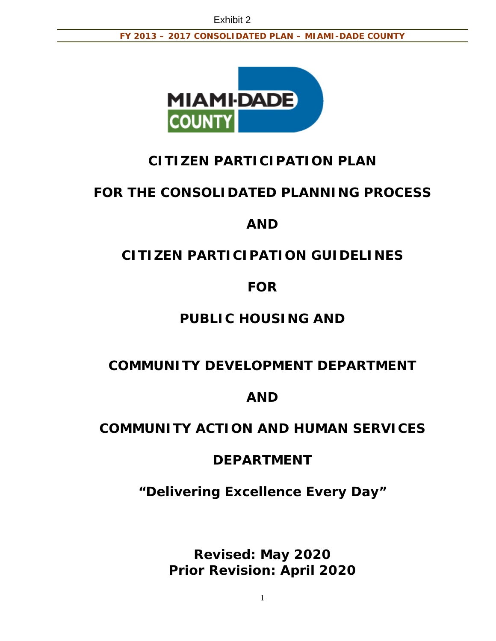

# **CITIZEN PARTICIPATION PLAN**

# **FOR THE CONSOLIDATED PLANNING PROCESS**

# **AND**

# **CITIZEN PARTICIPATION GUIDELINES**

# **FOR**

# **PUBLIC HOUSING AND**

# **COMMUNITY DEVELOPMENT DEPARTMENT**

# **AND**

# **COMMUNITY ACTION AND HUMAN SERVICES**

# **DEPARTMENT**

*"Delivering Excellence Every Day"* 

**Revised: May 2020 Prior Revision: April 2020**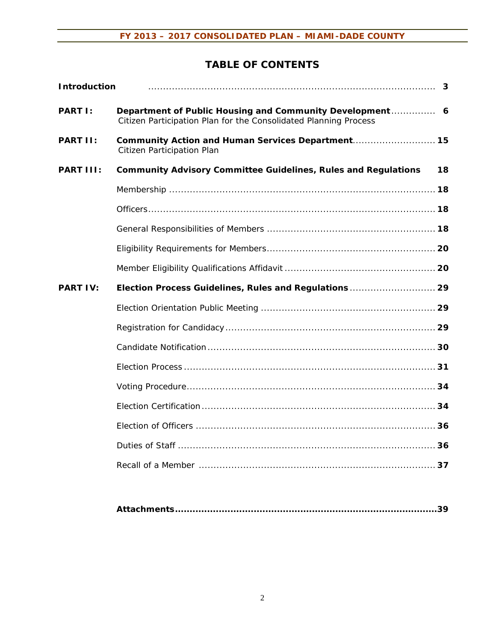# **TABLE OF CONTENTS**

| <b>Introduction</b> |                                                                                                                              |  |
|---------------------|------------------------------------------------------------------------------------------------------------------------------|--|
| <b>PART I:</b>      | Department of Public Housing and Community Development 6<br>Citizen Participation Plan for the Consolidated Planning Process |  |
| PART II:            | Community Action and Human Services Department 15<br>Citizen Participation Plan                                              |  |
| PART III:           | <b>Community Advisory Committee Guidelines, Rules and Regulations</b><br>18                                                  |  |
|                     |                                                                                                                              |  |
|                     |                                                                                                                              |  |
|                     |                                                                                                                              |  |
|                     |                                                                                                                              |  |
|                     |                                                                                                                              |  |
| <b>PART IV:</b>     |                                                                                                                              |  |
|                     | Election Process Guidelines, Rules and Regulations  29                                                                       |  |
|                     |                                                                                                                              |  |
|                     |                                                                                                                              |  |
|                     |                                                                                                                              |  |
|                     |                                                                                                                              |  |
|                     |                                                                                                                              |  |
|                     |                                                                                                                              |  |
|                     |                                                                                                                              |  |
|                     |                                                                                                                              |  |
|                     |                                                                                                                              |  |

|--|--|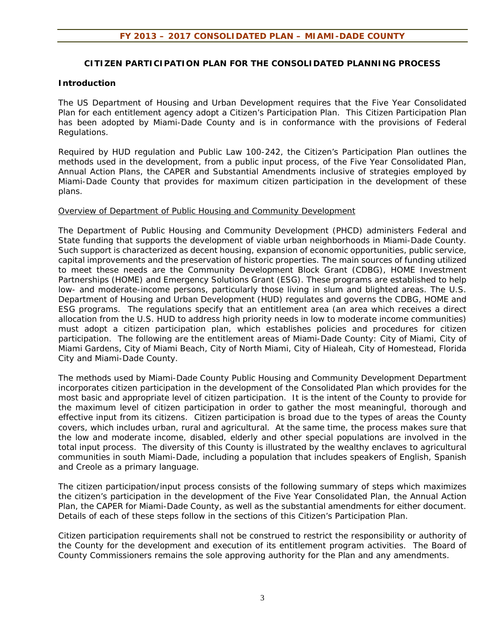#### **CITIZEN PARTICIPATION PLAN FOR THE CONSOLIDATED PLANNING PROCESS**

#### **Introduction**

The US Department of Housing and Urban Development requires that the Five Year Consolidated Plan for each entitlement agency adopt a Citizen's Participation Plan. This Citizen Participation Plan has been adopted by Miami-Dade County and is in conformance with the provisions of Federal Regulations.

Required by HUD regulation and Public Law 100-242, the Citizen's Participation Plan outlines the methods used in the development, from a public input process, of the Five Year Consolidated Plan, Annual Action Plans, the CAPER and Substantial Amendments inclusive of strategies employed by Miami-Dade County that provides for maximum citizen participation in the development of these plans.

#### Overview of Department of Public Housing and Community Development

The Department of Public Housing and Community Development (PHCD) administers Federal and State funding that supports the development of viable urban neighborhoods in Miami-Dade County. Such support is characterized as decent housing, expansion of economic opportunities, public service, capital improvements and the preservation of historic properties. The main sources of funding utilized to meet these needs are the Community Development Block Grant (CDBG), HOME Investment Partnerships (HOME) and Emergency Solutions Grant (ESG). These programs are established to help low- and moderate-income persons, particularly those living in slum and blighted areas. The U.S. Department of Housing and Urban Development (HUD) regulates and governs the CDBG, HOME and ESG programs. The regulations specify that an entitlement area (an area which receives a direct allocation from the U.S. HUD to address high priority needs in low to moderate income communities) must adopt a citizen participation plan, which establishes policies and procedures for citizen participation. The following are the entitlement areas of Miami-Dade County: City of Miami, City of Miami Gardens, City of Miami Beach, City of North Miami, City of Hialeah, City of Homestead, Florida City and Miami-Dade County.

The methods used by Miami-Dade County Public Housing and Community Development Department incorporates citizen participation in the development of the Consolidated Plan which provides for the most basic and appropriate level of citizen participation. It is the intent of the County to provide for the maximum level of citizen participation in order to gather the most meaningful, thorough and effective input from its citizens. Citizen participation is broad due to the types of areas the County covers, which includes urban, rural and agricultural. At the same time, the process makes sure that the low and moderate income, disabled, elderly and other special populations are involved in the total input process. The diversity of this County is illustrated by the wealthy enclaves to agricultural communities in south Miami-Dade, including a population that includes speakers of English, Spanish and Creole as a primary language.

The citizen participation/input process consists of the following summary of steps which maximizes the citizen's participation in the development of the Five Year Consolidated Plan, the Annual Action Plan, the CAPER for Miami-Dade County, as well as the substantial amendments for either document. Details of each of these steps follow in the sections of this Citizen's Participation Plan.

Citizen participation requirements shall not be construed to restrict the responsibility or authority of the County for the development and execution of its entitlement program activities. The Board of County Commissioners remains the sole approving authority for the Plan and any amendments.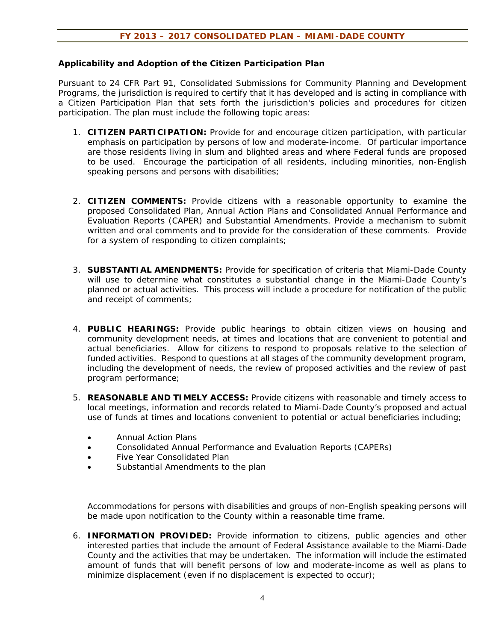#### **Applicability and Adoption of the Citizen Participation Plan**

Pursuant to 24 CFR Part 91, Consolidated Submissions for Community Planning and Development Programs, the jurisdiction is required to certify that it has developed and is acting in compliance with a Citizen Participation Plan that sets forth the jurisdiction's policies and procedures for citizen participation. The plan must include the following topic areas:

- 1. **CITIZEN PARTICIPATION:** Provide for and encourage citizen participation, with particular emphasis on participation by persons of low and moderate-income. Of particular importance are those residents living in slum and blighted areas and where Federal funds are proposed to be used. Encourage the participation of all residents, including minorities, non-English speaking persons and persons with disabilities;
- 2. **CITIZEN COMMENTS:** Provide citizens with a reasonable opportunity to examine the proposed Consolidated Plan, Annual Action Plans and Consolidated Annual Performance and Evaluation Reports (CAPER) and Substantial Amendments. Provide a mechanism to submit written and oral comments and to provide for the consideration of these comments. Provide for a system of responding to citizen complaints;
- 3. **SUBSTANTIAL AMENDMENTS:** Provide for specification of criteria that Miami-Dade County will use to determine what constitutes a substantial change in the Miami-Dade County's planned or actual activities. This process will include a procedure for notification of the public and receipt of comments;
- 4. **PUBLIC HEARINGS:** Provide public hearings to obtain citizen views on housing and community development needs, at times and locations that are convenient to potential and actual beneficiaries. Allow for citizens to respond to proposals relative to the selection of funded activities. Respond to questions at all stages of the community development program, including the development of needs, the review of proposed activities and the review of past program performance;
- 5. **REASONABLE AND TIMELY ACCESS:** Provide citizens with reasonable and timely access to local meetings, information and records related to Miami-Dade County's proposed and actual use of funds at times and locations convenient to potential or actual beneficiaries including;
	- Annual Action Plans
	- Consolidated Annual Performance and Evaluation Reports (CAPERs)
	- Five Year Consolidated Plan
	- Substantial Amendments to the plan

Accommodations for persons with disabilities and groups of non-English speaking persons will be made upon notification to the County within a reasonable time frame.

6. **INFORMATION PROVIDED:** Provide information to citizens, public agencies and other interested parties that include the amount of Federal Assistance available to the Miami-Dade County and the activities that may be undertaken. The information will include the estimated amount of funds that will benefit persons of low and moderate-income as well as plans to minimize displacement (even if no displacement is expected to occur);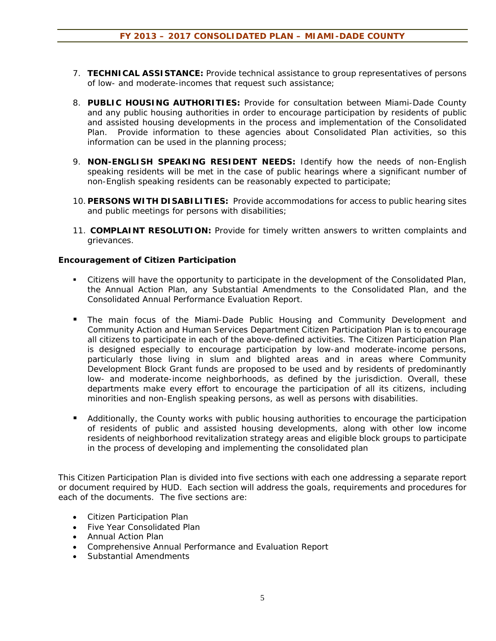- 7. **TECHNICAL ASSISTANCE:** Provide technical assistance to group representatives of persons of low- and moderate-incomes that request such assistance;
- 8. **PUBLIC HOUSING AUTHORITIES:** Provide for consultation between Miami-Dade County and any public housing authorities in order to encourage participation by residents of public and assisted housing developments in the process and implementation of the Consolidated Plan. Provide information to these agencies about Consolidated Plan activities, so this information can be used in the planning process;
- 9. **NON-ENGLISH SPEAKING RESIDENT NEEDS:** Identify how the needs of non-English speaking residents will be met in the case of public hearings where a significant number of non-English speaking residents can be reasonably expected to participate;
- 10. **PERSONS WITH DISABILITIES:** Provide accommodations for access to public hearing sites and public meetings for persons with disabilities;
- 11. **COMPLAINT RESOLUTION:** Provide for timely written answers to written complaints and grievances.

### **Encouragement of Citizen Participation**

- Citizens will have the opportunity to participate in the development of the Consolidated Plan, the Annual Action Plan, any Substantial Amendments to the Consolidated Plan, and the Consolidated Annual Performance Evaluation Report.
- The main focus of the Miami-Dade Public Housing and Community Development and Community Action and Human Services Department Citizen Participation Plan is to encourage all citizens to participate in each of the above-defined activities. The Citizen Participation Plan is designed especially to encourage participation by low-and moderate-income persons, particularly those living in slum and blighted areas and in areas where Community Development Block Grant funds are proposed to be used and by residents of predominantly low- and moderate-income neighborhoods, as defined by the jurisdiction. Overall, these departments make every effort to encourage the participation of all its citizens, including minorities and non-English speaking persons, as well as persons with disabilities.
- **Additionally, the County works with public housing authorities to encourage the participation** of residents of public and assisted housing developments, along with other low income residents of neighborhood revitalization strategy areas and eligible block groups to participate in the process of developing and implementing the consolidated plan

This Citizen Participation Plan is divided into five sections with each one addressing a separate report or document required by HUD. Each section will address the goals, requirements and procedures for each of the documents. The five sections are:

- Citizen Participation Plan
- Five Year Consolidated Plan
- Annual Action Plan
- Comprehensive Annual Performance and Evaluation Report
- Substantial Amendments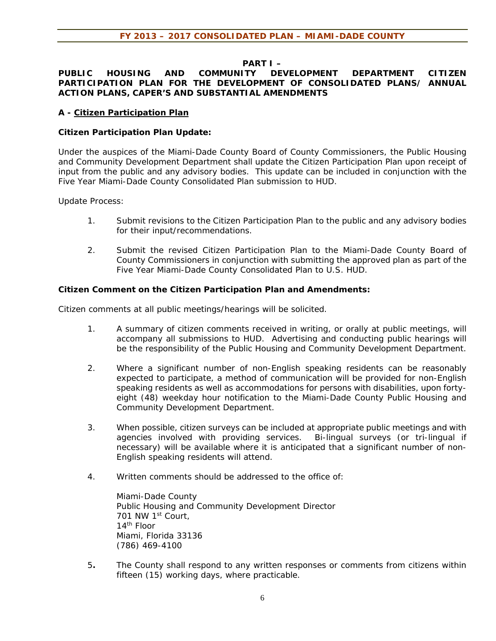# **PART I –**

### **PUBLIC HOUSING AND COMMUNITY DEVELOPMENT DEPARTMENT CITIZEN PARTICIPATION PLAN FOR THE DEVELOPMENT OF CONSOLIDATED PLANS/ ANNUAL ACTION PLANS, CAPER'S AND SUBSTANTIAL AMENDMENTS**

## **A - Citizen Participation Plan**

## **Citizen Participation Plan Update:**

Under the auspices of the Miami-Dade County Board of County Commissioners, the Public Housing and Community Development Department shall update the Citizen Participation Plan upon receipt of input from the public and any advisory bodies. This update can be included in conjunction with the Five Year Miami-Dade County Consolidated Plan submission to HUD.

Update Process:

- 1. Submit revisions to the Citizen Participation Plan to the public and any advisory bodies for their input/recommendations.
- 2. Submit the revised Citizen Participation Plan to the Miami-Dade County Board of County Commissioners in conjunction with submitting the approved plan as part of the Five Year Miami-Dade County Consolidated Plan to U.S. HUD.

# **Citizen Comment on the Citizen Participation Plan and Amendments:**

Citizen comments at all public meetings/hearings will be solicited.

- 1. A summary of citizen comments received in writing, or orally at public meetings, will accompany all submissions to HUD. Advertising and conducting public hearings will be the responsibility of the Public Housing and Community Development Department.
- 2. Where a significant number of non-English speaking residents can be reasonably expected to participate, a method of communication will be provided for non-English speaking residents as well as accommodations for persons with disabilities, upon fortyeight (48) weekday hour notification to the Miami-Dade County Public Housing and Community Development Department.
- 3. When possible, citizen surveys can be included at appropriate public meetings and with agencies involved with providing services. Bi-lingual surveys (or tri-lingual if necessary) will be available where it is anticipated that a significant number of non-English speaking residents will attend.
- 4. Written comments should be addressed to the office of:

Miami-Dade County Public Housing and Community Development Director 701 NW 1st Court, 14th Floor Miami, Florida 33136 (786) 469-4100

5**.** The County shall respond to any written responses or comments from citizens within fifteen (15) working days, where practicable.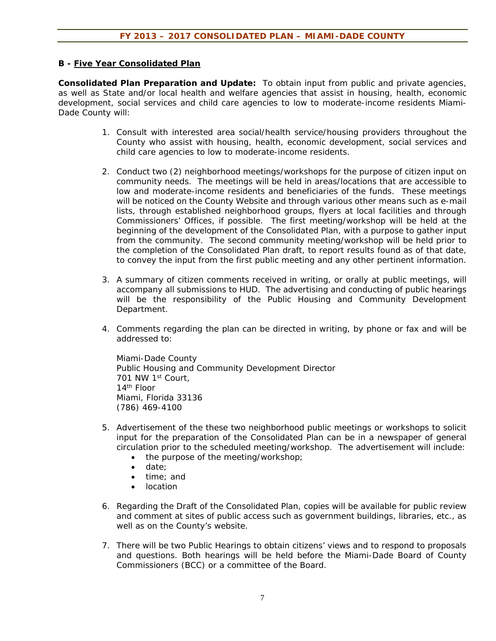### **B - Five Year Consolidated Plan**

**Consolidated Plan Preparation and Update:** To obtain input from public and private agencies, as well as State and/or local health and welfare agencies that assist in housing, health, economic development, social services and child care agencies to low to moderate-income residents Miami-Dade County will:

- 1. Consult with interested area social/health service/housing providers throughout the County who assist with housing, health, economic development, social services and child care agencies to low to moderate-income residents.
- 2. Conduct two (2) neighborhood meetings/workshops for the purpose of citizen input on community needs. The meetings will be held in areas/locations that are accessible to low and moderate-income residents and beneficiaries of the funds. These meetings will be noticed on the County Website and through various other means such as e-mail lists, through established neighborhood groups, flyers at local facilities and through Commissioners' Offices, if possible. The first meeting/workshop will be held at the beginning of the development of the Consolidated Plan, with a purpose to gather input from the community. The second community meeting/workshop will be held prior to the completion of the Consolidated Plan draft, to report results found as of that date, to convey the input from the first public meeting and any other pertinent information.
- 3. A summary of citizen comments received in writing, or orally at public meetings, will accompany all submissions to HUD. The advertising and conducting of public hearings will be the responsibility of the Public Housing and Community Development Department.
- 4. Comments regarding the plan can be directed in writing, by phone or fax and will be addressed to:

Miami-Dade County Public Housing and Community Development Director 701 NW 1st Court, 14th Floor Miami, Florida 33136 (786) 469-4100

- 5. Advertisement of the these two neighborhood public meetings or workshops to solicit input for the preparation of the Consolidated Plan can be in a newspaper of general circulation prior to the scheduled meeting/workshop. The advertisement will include:
	- the purpose of the meeting/workshop;
	- date:
	- time: and
	- location
- 6. Regarding the Draft of the Consolidated Plan, copies will be available for public review and comment at sites of public access such as government buildings, libraries, etc., as well as on the County's website.
- 7. There will be two Public Hearings to obtain citizens' views and to respond to proposals and questions. Both hearings will be held before the Miami-Dade Board of County Commissioners (BCC) or a committee of the Board.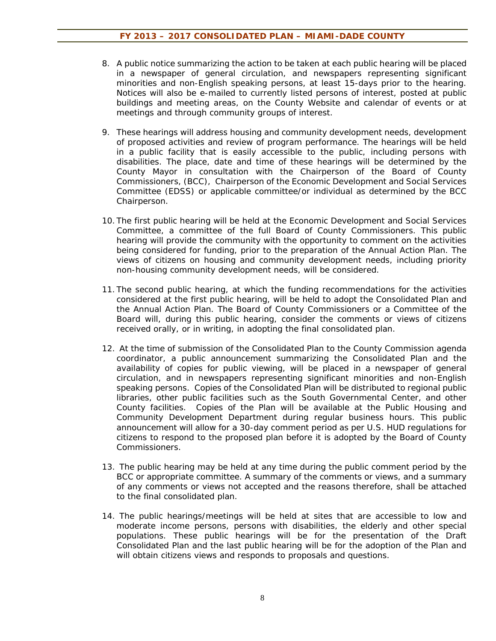- 8. A public notice summarizing the action to be taken at each public hearing will be placed in a newspaper of general circulation, and newspapers representing significant minorities and non-English speaking persons, at least 15-days prior to the hearing. Notices will also be e-mailed to currently listed persons of interest, posted at public buildings and meeting areas, on the County Website and calendar of events or at meetings and through community groups of interest.
- 9. These hearings will address housing and community development needs, development of proposed activities and review of program performance. The hearings will be held in a public facility that is easily accessible to the public, including persons with disabilities. The place, date and time of these hearings will be determined by the County Mayor in consultation with the Chairperson of the Board of County Commissioners, (BCC), Chairperson of the Economic Development and Social Services Committee (EDSS) or applicable committee/or individual as determined by the BCC Chairperson.
- 10. The first public hearing will be held at the Economic Development and Social Services Committee, a committee of the full Board of County Commissioners. This public hearing will provide the community with the opportunity to comment on the activities being considered for funding, prior to the preparation of the Annual Action Plan. The views of citizens on housing and community development needs, including priority non-housing community development needs, will be considered.
- 11. The second public hearing, at which the funding recommendations for the activities considered at the first public hearing, will be held to adopt the Consolidated Plan and the Annual Action Plan. The Board of County Commissioners or a Committee of the Board will, during this public hearing, consider the comments or views of citizens received orally, or in writing, in adopting the final consolidated plan.
- 12. At the time of submission of the Consolidated Plan to the County Commission agenda coordinator, a public announcement summarizing the Consolidated Plan and the availability of copies for public viewing, will be placed in a newspaper of general circulation, and in newspapers representing significant minorities and non-English speaking persons. Copies of the Consolidated Plan will be distributed to regional public libraries, other public facilities such as the South Governmental Center, and other County facilities. Copies of the Plan will be available at the Public Housing and Community Development Department during regular business hours. This public announcement will allow for a 30-day comment period as per U.S. HUD regulations for citizens to respond to the proposed plan before it is adopted by the Board of County Commissioners.
- 13. The public hearing may be held at any time during the public comment period by the BCC or appropriate committee. A summary of the comments or views, and a summary of any comments or views not accepted and the reasons therefore, shall be attached to the final consolidated plan.
- 14. The public hearings/meetings will be held at sites that are accessible to low and moderate income persons, persons with disabilities, the elderly and other special populations. These public hearings will be for the presentation of the Draft Consolidated Plan and the last public hearing will be for the adoption of the Plan and will obtain citizens views and responds to proposals and questions.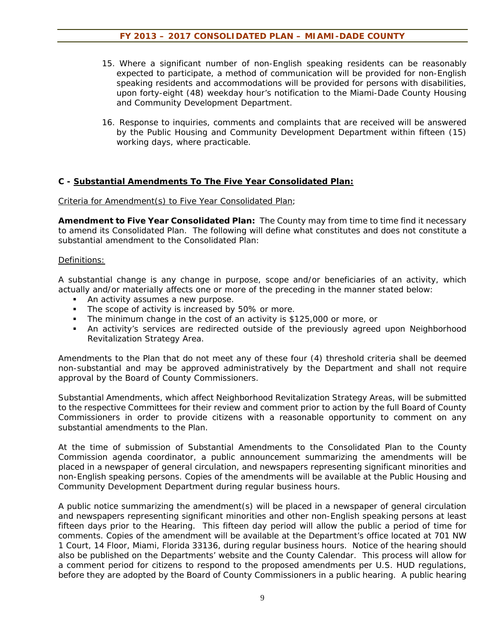- 15. Where a significant number of non-English speaking residents can be reasonably expected to participate, a method of communication will be provided for non-English speaking residents and accommodations will be provided for persons with disabilities, upon forty-eight (48) weekday hour's notification to the Miami-Dade County Housing and Community Development Department.
- 16. Response to inquiries, comments and complaints that are received will be answered by the Public Housing and Community Development Department within fifteen (15) working days, where practicable.

### **C - Substantial Amendments To The Five Year Consolidated Plan:**

#### Criteria for Amendment(s) to Five Year Consolidated Plan;

**Amendment to Five Year Consolidated Plan:** The County may from time to time find it necessary to amend its Consolidated Plan. The following will define what constitutes and does not constitute a substantial amendment to the Consolidated Plan:

#### Definitions:

A substantial change is any change in purpose, scope and/or beneficiaries of an activity, which actually and/or materially affects one or more of the preceding in the manner stated below:

- An activity assumes a new purpose.
- The scope of activity is increased by 50% or more.
- The minimum change in the cost of an activity is \$125,000 or more, or
- An activity's services are redirected outside of the previously agreed upon Neighborhood Revitalization Strategy Area.

Amendments to the Plan that do not meet any of these four (4) threshold criteria shall be deemed non-substantial and may be approved administratively by the Department and shall not require approval by the Board of County Commissioners.

Substantial Amendments, which affect Neighborhood Revitalization Strategy Areas, will be submitted to the respective Committees for their review and comment prior to action by the full Board of County Commissioners in order to provide citizens with a reasonable opportunity to comment on any substantial amendments to the Plan.

At the time of submission of Substantial Amendments to the Consolidated Plan to the County Commission agenda coordinator, a public announcement summarizing the amendments will be placed in a newspaper of general circulation, and newspapers representing significant minorities and non-English speaking persons. Copies of the amendments will be available at the Public Housing and Community Development Department during regular business hours.

A public notice summarizing the amendment(s) will be placed in a newspaper of general circulation and newspapers representing significant minorities and other non-English speaking persons at least fifteen days prior to the Hearing. This fifteen day period will allow the public a period of time for comments. Copies of the amendment will be available at the Department's office located at 701 NW 1 Court, 14 Floor, Miami, Florida 33136, during regular business hours. Notice of the hearing should also be published on the Departments' website and the County Calendar. This process will allow for a comment period for citizens to respond to the proposed amendments per U.S. HUD regulations, before they are adopted by the Board of County Commissioners in a public hearing. A public hearing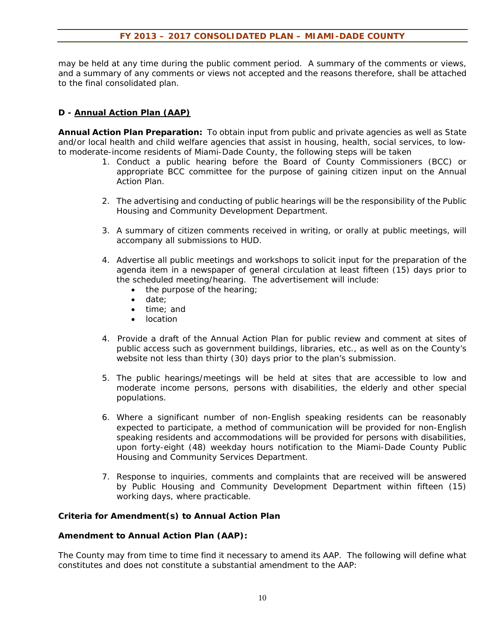may be held at any time during the public comment period. A summary of the comments or views, and a summary of any comments or views not accepted and the reasons therefore, shall be attached to the final consolidated plan.

## **D - Annual Action Plan (AAP)**

**Annual Action Plan Preparation:** To obtain input from public and private agencies as well as State and/or local health and child welfare agencies that assist in housing, health, social services, to lowto moderate-income residents of Miami-Dade County, the following steps will be taken

- 1. Conduct a public hearing before the Board of County Commissioners (BCC) or appropriate BCC committee for the purpose of gaining citizen input on the Annual Action Plan.
- 2. The advertising and conducting of public hearings will be the responsibility of the Public Housing and Community Development Department.
- 3. A summary of citizen comments received in writing, or orally at public meetings, will accompany all submissions to HUD.
- 4. Advertise all public meetings and workshops to solicit input for the preparation of the agenda item in a newspaper of general circulation at least fifteen (15) days prior to the scheduled meeting/hearing. The advertisement will include:
	- the purpose of the hearing;
	- date:
	- time: and
	- location
- 4. Provide a draft of the Annual Action Plan for public review and comment at sites of public access such as government buildings, libraries, etc., as well as on the County's website not less than thirty (30) days prior to the plan's submission.
- 5. The public hearings/meetings will be held at sites that are accessible to low and moderate income persons, persons with disabilities, the elderly and other special populations.
- 6. Where a significant number of non-English speaking residents can be reasonably expected to participate, a method of communication will be provided for non-English speaking residents and accommodations will be provided for persons with disabilities, upon forty-eight (48) weekday hours notification to the Miami-Dade County Public Housing and Community Services Department.
- 7. Response to inquiries, comments and complaints that are received will be answered by Public Housing and Community Development Department within fifteen (15) working days, where practicable.

# **Criteria for Amendment(s) to Annual Action Plan**

#### **Amendment to Annual Action Plan (AAP):**

The County may from time to time find it necessary to amend its AAP. The following will define what constitutes and does not constitute a substantial amendment to the AAP: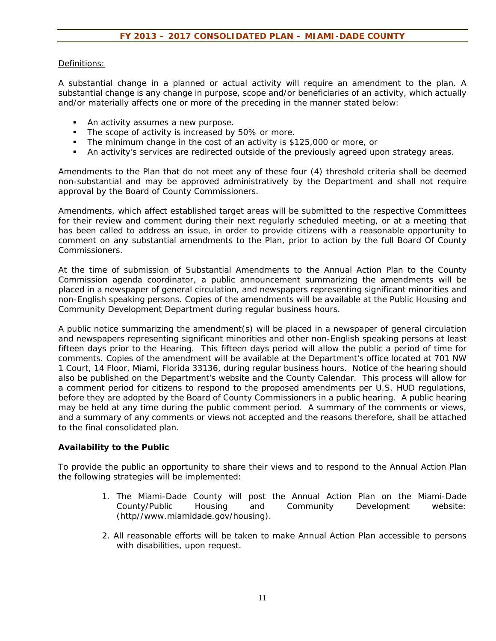## Definitions:

A substantial change in a planned or actual activity will require an amendment to the plan. A substantial change is any change in purpose, scope and/or beneficiaries of an activity, which actually and/or materially affects one or more of the preceding in the manner stated below:

- **An activity assumes a new purpose.**
- The scope of activity is increased by 50% or more.
- The minimum change in the cost of an activity is \$125,000 or more, or
- An activity's services are redirected outside of the previously agreed upon strategy areas.

Amendments to the Plan that do not meet any of these four (4) threshold criteria shall be deemed non-substantial and may be approved administratively by the Department and shall not require approval by the Board of County Commissioners.

Amendments, which affect established target areas will be submitted to the respective Committees for their review and comment during their next regularly scheduled meeting, or at a meeting that has been called to address an issue, in order to provide citizens with a reasonable opportunity to comment on any substantial amendments to the Plan, prior to action by the full Board Of County Commissioners.

At the time of submission of Substantial Amendments to the Annual Action Plan to the County Commission agenda coordinator, a public announcement summarizing the amendments will be placed in a newspaper of general circulation, and newspapers representing significant minorities and non-English speaking persons. Copies of the amendments will be available at the Public Housing and Community Development Department during regular business hours.

A public notice summarizing the amendment(s) will be placed in a newspaper of general circulation and newspapers representing significant minorities and other non-English speaking persons at least fifteen days prior to the Hearing. This fifteen days period will allow the public a period of time for comments. Copies of the amendment will be available at the Department's office located at 701 NW 1 Court, 14 Floor, Miami, Florida 33136, during regular business hours. Notice of the hearing should also be published on the Department's website and the County Calendar. This process will allow for a comment period for citizens to respond to the proposed amendments per U.S. HUD regulations, before they are adopted by the Board of County Commissioners in a public hearing. A public hearing may be held at any time during the public comment period. A summary of the comments or views, and a summary of any comments or views not accepted and the reasons therefore, shall be attached to the final consolidated plan.

### **Availability to the Public**

To provide the public an opportunity to share their views and to respond to the Annual Action Plan the following strategies will be implemented:

- 1. The Miami-Dade County will post the Annual Action Plan on the Miami-Dade County/Public Housing and Community Development website: (http//www.miamidade.gov/housing).
- 2. All reasonable efforts will be taken to make Annual Action Plan accessible to persons with disabilities, upon request.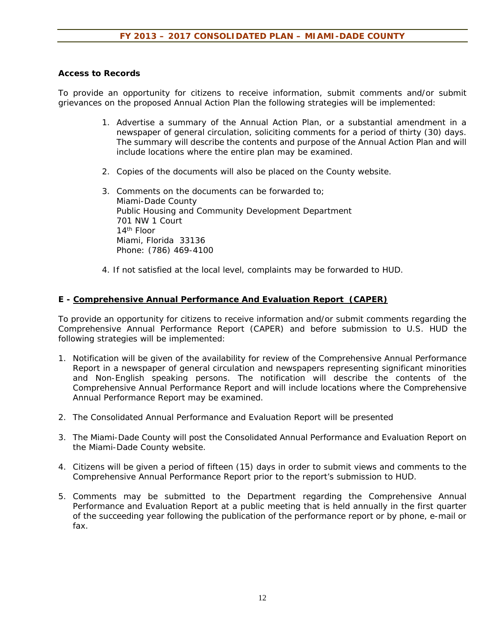### **Access to Records**

To provide an opportunity for citizens to receive information, submit comments and/or submit grievances on the proposed Annual Action Plan the following strategies will be implemented:

- 1. Advertise a summary of the Annual Action Plan, or a substantial amendment in a newspaper of general circulation, soliciting comments for a period of thirty (30) days. The summary will describe the contents and purpose of the Annual Action Plan and will include locations where the entire plan may be examined.
- 2. Copies of the documents will also be placed on the County website.
- 3. Comments on the documents can be forwarded to; Miami-Dade County Public Housing and Community Development Department 701 NW 1 Court 14th Floor Miami, Florida 33136 Phone: (786) 469-4100
- 4. If not satisfied at the local level, complaints may be forwarded to HUD.

# **E - Comprehensive Annual Performance And Evaluation Report (CAPER)**

To provide an opportunity for citizens to receive information and/or submit comments regarding the Comprehensive Annual Performance Report (CAPER) and before submission to U.S. HUD the following strategies will be implemented:

- 1. Notification will be given of the availability for review of the Comprehensive Annual Performance Report in a newspaper of general circulation and newspapers representing significant minorities and Non-English speaking persons. The notification will describe the contents of the Comprehensive Annual Performance Report and will include locations where the Comprehensive Annual Performance Report may be examined.
- 2. The Consolidated Annual Performance and Evaluation Report will be presented
- 3. The Miami-Dade County will post the Consolidated Annual Performance and Evaluation Report on the Miami-Dade County website.
- 4. Citizens will be given a period of fifteen (15) days in order to submit views and comments to the Comprehensive Annual Performance Report prior to the report's submission to HUD.
- 5. Comments may be submitted to the Department regarding the Comprehensive Annual Performance and Evaluation Report at a public meeting that is held annually in the first quarter of the succeeding year following the publication of the performance report or by phone, e-mail or fax.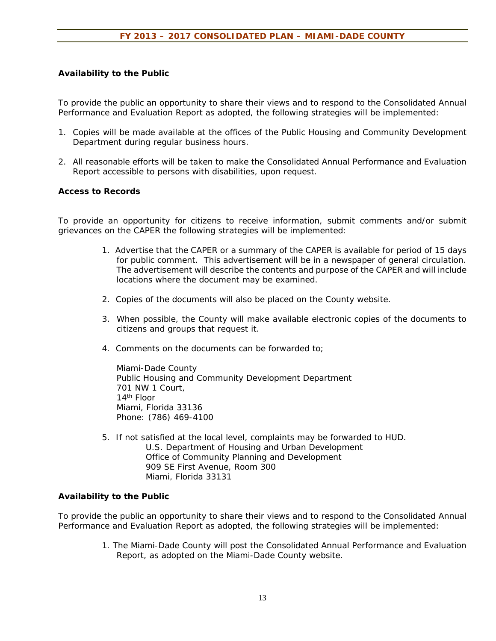### **Availability to the Public**

To provide the public an opportunity to share their views and to respond to the Consolidated Annual Performance and Evaluation Report as adopted, the following strategies will be implemented:

- 1. Copies will be made available at the offices of the Public Housing and Community Development Department during regular business hours.
- 2. All reasonable efforts will be taken to make the Consolidated Annual Performance and Evaluation Report accessible to persons with disabilities, upon request.

### **Access to Records**

To provide an opportunity for citizens to receive information, submit comments and/or submit grievances on the CAPER the following strategies will be implemented:

- 1. Advertise that the CAPER or a summary of the CAPER is available for period of 15 days for public comment. This advertisement will be in a newspaper of general circulation. The advertisement will describe the contents and purpose of the CAPER and will include locations where the document may be examined.
- 2. Copies of the documents will also be placed on the County website.
- 3. When possible, the County will make available electronic copies of the documents to citizens and groups that request it.
- 4. Comments on the documents can be forwarded to;

Miami-Dade County Public Housing and Community Development Department 701 NW 1 Court, 14th Floor Miami, Florida 33136 Phone: (786) 469-4100

5. If not satisfied at the local level, complaints may be forwarded to HUD. U.S. Department of Housing and Urban Development Office of Community Planning and Development 909 SE First Avenue, Room 300 Miami, Florida 33131

### **Availability to the Public**

To provide the public an opportunity to share their views and to respond to the Consolidated Annual Performance and Evaluation Report as adopted, the following strategies will be implemented:

> 1. The Miami-Dade County will post the Consolidated Annual Performance and Evaluation Report, as adopted on the Miami-Dade County website.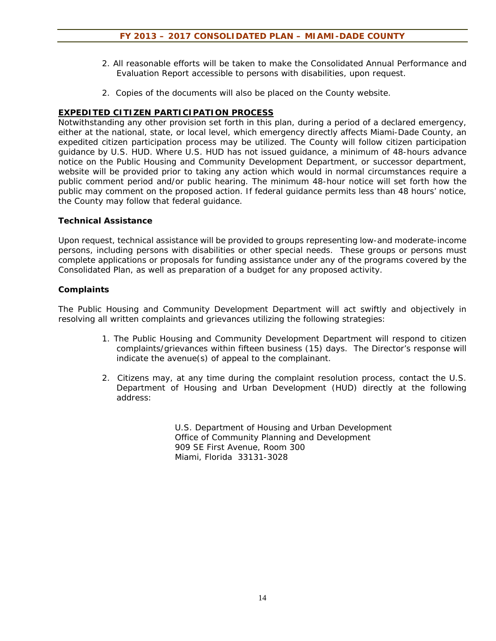- 2. All reasonable efforts will be taken to make the Consolidated Annual Performance and Evaluation Report accessible to persons with disabilities, upon request.
- 2. Copies of the documents will also be placed on the County website.

# **EXPEDITED CITIZEN PARTICIPATION PROCESS**

Notwithstanding any other provision set forth in this plan, during a period of a declared emergency, either at the national, state, or local level, which emergency directly affects Miami-Dade County, an expedited citizen participation process may be utilized. The County will follow citizen participation guidance by U.S. HUD. Where U.S. HUD has not issued guidance, a minimum of 48-hours advance notice on the Public Housing and Community Development Department, or successor department, website will be provided prior to taking any action which would in normal circumstances require a public comment period and/or public hearing. The minimum 48-hour notice will set forth how the public may comment on the proposed action. If federal guidance permits less than 48 hours' notice, the County may follow that federal guidance.

### **Technical Assistance**

Upon request, technical assistance will be provided to groups representing low-and moderate-income persons, including persons with disabilities or other special needs. These groups or persons must complete applications or proposals for funding assistance under any of the programs covered by the Consolidated Plan, as well as preparation of a budget for any proposed activity.

# **Complaints**

The Public Housing and Community Development Department will act swiftly and objectively in resolving all written complaints and grievances utilizing the following strategies:

- 1. The Public Housing and Community Development Department will respond to citizen complaints/grievances within fifteen business (15) days. The Director's response will indicate the avenue(s) of appeal to the complainant.
- 2. Citizens may, at any time during the complaint resolution process, contact the U.S. Department of Housing and Urban Development (HUD) directly at the following address:

 U.S. Department of Housing and Urban Development Office of Community Planning and Development 909 SE First Avenue, Room 300 Miami, Florida 33131-3028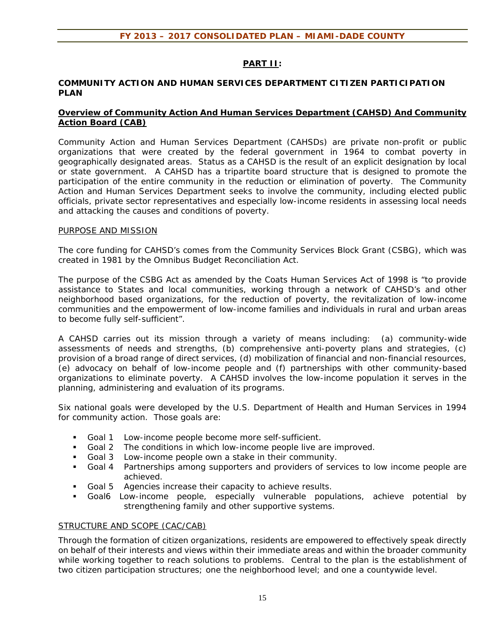### **PART II:**

#### **COMMUNITY ACTION AND HUMAN SERVICES DEPARTMENT CITIZEN PARTICIPATION PLAN**

### **Overview of Community Action And Human Services Department (CAHSD) And Community Action Board (CAB)**

Community Action and Human Services Department (CAHSDs) are private non-profit or public organizations that were created by the federal government in 1964 to combat poverty in geographically designated areas. Status as a CAHSD is the result of an explicit designation by local or state government. A CAHSD has a tripartite board structure that is designed to promote the participation of the entire community in the reduction or elimination of poverty. The Community Action and Human Services Department seeks to involve the community, including elected public officials, private sector representatives and especially low-income residents in assessing local needs and attacking the causes and conditions of poverty.

#### PURPOSE AND MISSION

The core funding for CAHSD's comes from the Community Services Block Grant (CSBG), which was created in 1981 by the Omnibus Budget Reconciliation Act.

The purpose of the CSBG Act as amended by the Coats Human Services Act of 1998 is "to provide assistance to States and local communities, working through a network of CAHSD's and other neighborhood based organizations, for the reduction of poverty, the revitalization of low-income communities and the empowerment of low-income families and individuals in rural and urban areas to become fully self-sufficient".

A CAHSD carries out its mission through a variety of means including: (a) community-wide assessments of needs and strengths, (b) comprehensive anti-poverty plans and strategies, (c) provision of a broad range of direct services, (d) mobilization of financial and non-financial resources, (e) advocacy on behalf of low-income people and (f) partnerships with other community-based organizations to eliminate poverty. A CAHSD involves the low-income population it serves in the planning, administering and evaluation of its programs.

Six national goals were developed by the U.S. Department of Health and Human Services in 1994 for community action. Those goals are:

- Goal 1 Low-income people become more self-sufficient.
- Goal 2 The conditions in which low-income people live are improved.
- Goal 3 Low-income people own a stake in their community.
- Goal 4 Partnerships among supporters and providers of services to low income people are achieved.
- Goal 5 Agencies increase their capacity to achieve results.
- Goal6 Low-income people, especially vulnerable populations, achieve potential by strengthening family and other supportive systems.

#### STRUCTURE AND SCOPE (CAC/CAB)

Through the formation of citizen organizations, residents are empowered to effectively speak directly on behalf of their interests and views within their immediate areas and within the broader community while working together to reach solutions to problems. Central to the plan is the establishment of two citizen participation structures; one the neighborhood level; and one a countywide level.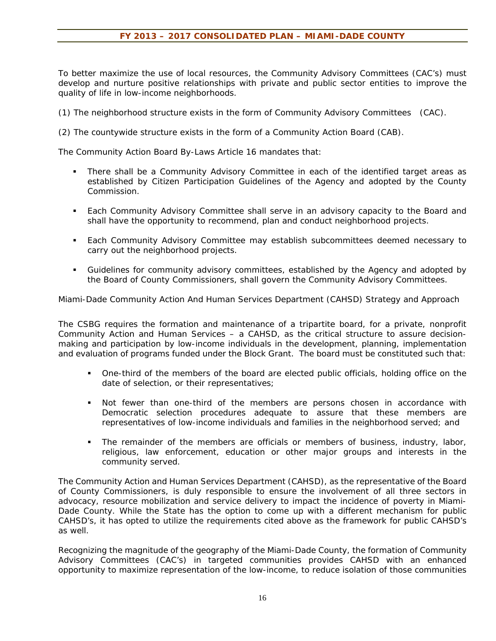To better maximize the use of local resources, the Community Advisory Committees (CAC's) must develop and nurture positive relationships with private and public sector entities to improve the quality of life in low-income neighborhoods.

- (1) The neighborhood structure exists in the form of Community Advisory Committees (CAC).
- (2) The countywide structure exists in the form of a Community Action Board (CAB).

The Community Action Board By-Laws Article 16 mandates that:

- There shall be a Community Advisory Committee in each of the identified target areas as established by Citizen Participation Guidelines of the Agency and adopted by the County Commission.
- Each Community Advisory Committee shall serve in an advisory capacity to the Board and shall have the opportunity to recommend, plan and conduct neighborhood projects.
- **Each Community Advisory Committee may establish subcommittees deemed necessary to** carry out the neighborhood projects.
- Guidelines for community advisory committees, established by the Agency and adopted by the Board of County Commissioners, shall govern the Community Advisory Committees.

Miami-Dade Community Action And Human Services Department (CAHSD) Strategy and Approach

The CSBG requires the formation and maintenance of a tripartite board, for a private, nonprofit Community Action and Human Services – a CAHSD, as the critical structure to assure decisionmaking and participation by low-income individuals in the development, planning, implementation and evaluation of programs funded under the Block Grant. The board must be constituted such that:

- One-third of the members of the board are elected public officials, holding office on the date of selection, or their representatives;
- Not fewer than one-third of the members are persons chosen in accordance with Democratic selection procedures adequate to assure that these members are representatives of low-income individuals and families in the neighborhood served; and
- The remainder of the members are officials or members of business, industry, labor, religious, law enforcement, education or other major groups and interests in the community served.

The Community Action and Human Services Department (CAHSD), as the representative of the Board of County Commissioners, is duly responsible to ensure the involvement of all three sectors in advocacy, resource mobilization and service delivery to impact the incidence of poverty in Miami-Dade County. While the State has the option to come up with a different mechanism for public CAHSD's, it has opted to utilize the requirements cited above as the framework for public CAHSD's as well.

Recognizing the magnitude of the geography of the Miami-Dade County, the formation of Community Advisory Committees (CAC's) in targeted communities provides CAHSD with an enhanced opportunity to maximize representation of the low-income, to reduce isolation of those communities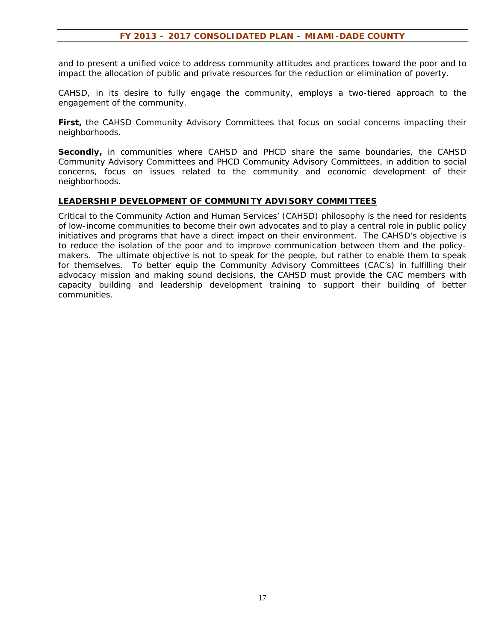and to present a unified voice to address community attitudes and practices toward the poor and to impact the allocation of public and private resources for the reduction or elimination of poverty.

CAHSD, in its desire to fully engage the community, employs a two-tiered approach to the engagement of the community.

**First,** the CAHSD Community Advisory Committees that focus on social concerns impacting their neighborhoods.

**Secondly,** in communities where CAHSD and PHCD share the same boundaries, the CAHSD Community Advisory Committees and PHCD Community Advisory Committees, in addition to social concerns, focus on issues related to the community and economic development of their neighborhoods.

#### **LEADERSHIP DEVELOPMENT OF COMMUNITY ADVISORY COMMITTEES**

Critical to the Community Action and Human Services' (CAHSD) philosophy is the need for residents of low-income communities to become their own advocates and to play a central role in public policy initiatives and programs that have a direct impact on their environment. The CAHSD's objective is to reduce the isolation of the poor and to improve communication between them and the policymakers. The ultimate objective is not to speak for the people, but rather to enable them to speak for themselves. To better equip the Community Advisory Committees (CAC's) in fulfilling their advocacy mission and making sound decisions, the CAHSD must provide the CAC members with capacity building and leadership development training to support their building of better communities.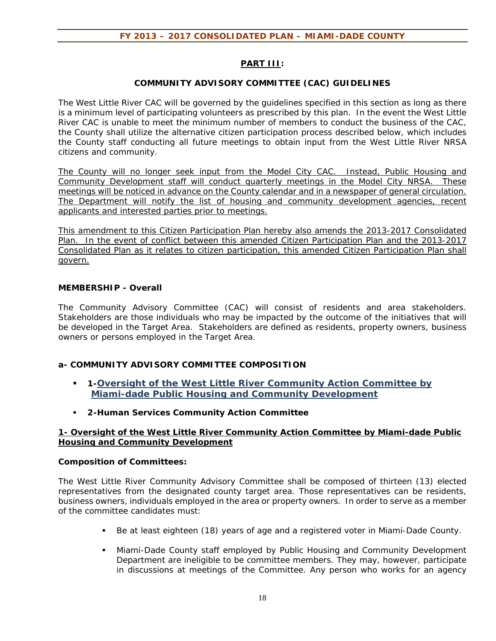# **PART III:**

### **COMMUNITY ADVISORY COMMITTEE (CAC) GUIDELINES**

The West Little River CAC will be governed by the guidelines specified in this section as long as there is a minimum level of participating volunteers as prescribed by this plan. In the event the West Little River CAC is unable to meet the minimum number of members to conduct the business of the CAC, the County shall utilize the alternative citizen participation process described below, which includes the County staff conducting all future meetings to obtain input from the West Little River NRSA citizens and community.

The County will no longer seek input from the Model City CAC. Instead, Public Housing and Community Development staff will conduct quarterly meetings in the Model City NRSA. These meetings will be noticed in advance on the County calendar and in a newspaper of general circulation. The Department will notify the list of housing and community development agencies, recent applicants and interested parties prior to meetings.

This amendment to this Citizen Participation Plan hereby also amends the 2013-2017 Consolidated Plan. In the event of conflict between this amended Citizen Participation Plan and the 2013-2017 Consolidated Plan as it relates to citizen participation, this amended Citizen Participation Plan shall govern.

### **MEMBERSHIP - Overall**

The Community Advisory Committee (CAC) will consist of residents and area stakeholders. Stakeholders are those individuals who may be impacted by the outcome of the initiatives that will be developed in the Target Area. Stakeholders are defined as residents, property owners, business owners or persons employed in the Target Area.

### **a- COMMUNITY ADVISORY COMMITTEE COMPOSITION**

- **1-Oversight of the West Little River Community Action Committee by Miami-dade Public Housing and Community Development**
- **2-Human Services Community Action Committee**

### **1- Oversight of the West Little River Community Action Committee by Miami-dade Public Housing and Community Development**

#### **Composition of Committees:**

The West Little River Community Advisory Committee shall be composed of thirteen (13) elected representatives from the designated county target area. Those representatives can be residents, business owners, individuals employed in the area or property owners. In order to serve as a member of the committee candidates must:

- Be at least eighteen (18) years of age and a registered voter in Miami-Dade County.
- Miami-Dade County staff employed by Public Housing and Community Development Department are ineligible to be committee members. They may, however, participate in discussions at meetings of the Committee. Any person who works for an agency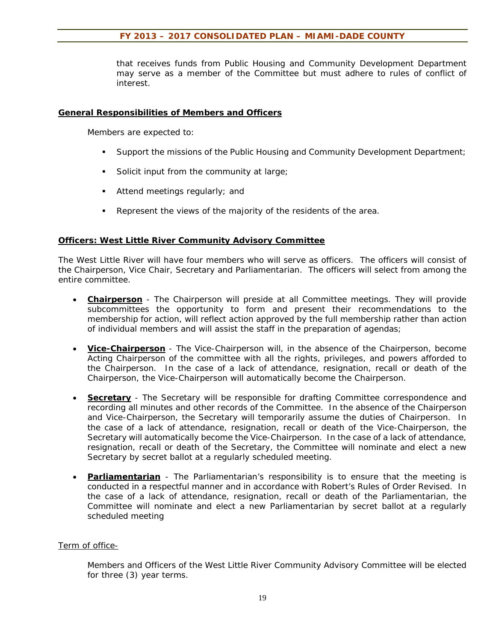that receives funds from Public Housing and Community Development Department may serve as a member of the Committee but must adhere to rules of conflict of interest.

#### **General Responsibilities of Members and Officers**

Members are expected to:

- Support the missions of the Public Housing and Community Development Department;
- Solicit input from the community at large;
- Attend meetings regularly; and
- Represent the views of the majority of the residents of the area.

### **Officers: West Little River Community Advisory Committee**

The West Little River will have four members who will serve as officers. The officers will consist of the Chairperson, Vice Chair, Secretary and Parliamentarian. The officers will select from among the entire committee.

- **Chairperson** The Chairperson will preside at all Committee meetings. They will provide subcommittees the opportunity to form and present their recommendations to the membership for action, will reflect action approved by the full membership rather than action of individual members and will assist the staff in the preparation of agendas;
- **Vice-Chairperson** The Vice-Chairperson will, in the absence of the Chairperson, become Acting Chairperson of the committee with all the rights, privileges, and powers afforded to the Chairperson. In the case of a lack of attendance, resignation, recall or death of the Chairperson, the Vice-Chairperson will automatically become the Chairperson.
- **Secretary** The Secretary will be responsible for drafting Committee correspondence and recording all minutes and other records of the Committee. In the absence of the Chairperson and Vice-Chairperson, the Secretary will temporarily assume the duties of Chairperson. In the case of a lack of attendance, resignation, recall or death of the Vice-Chairperson, the Secretary will automatically become the Vice-Chairperson. In the case of a lack of attendance, resignation, recall or death of the Secretary, the Committee will nominate and elect a new Secretary by secret ballot at a regularly scheduled meeting.
- **Parliamentarian** The Parliamentarian's responsibility is to ensure that the meeting is conducted in a respectful manner and in accordance with Robert's Rules of Order Revised. In the case of a lack of attendance, resignation, recall or death of the Parliamentarian, the Committee will nominate and elect a new Parliamentarian by secret ballot at a regularly scheduled meeting

### Term of office-

Members and Officers of the West Little River Community Advisory Committee will be elected for three (3) year terms.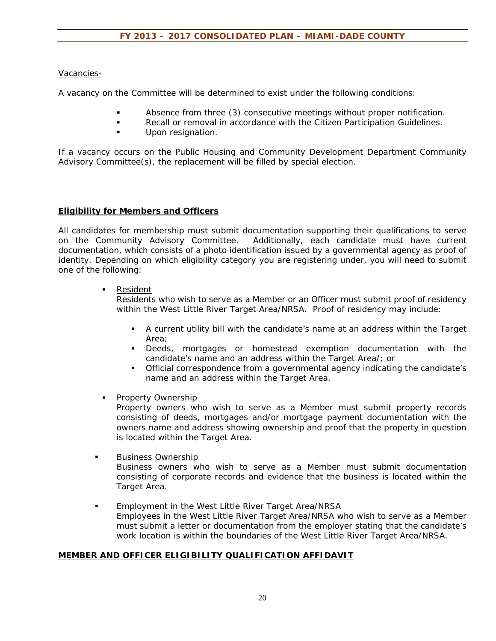Vacancies-

A vacancy on the Committee will be determined to exist under the following conditions:

- Absence from three (3) consecutive meetings without proper notification.
- **Recall or removal in accordance with the Citizen Participation Guidelines.**
- Upon resignation.

If a vacancy occurs on the Public Housing and Community Development Department Community Advisory Committee(s), the replacement will be filled by special election.

#### **Eligibility for Members and Officers**

All candidates for membership must submit documentation supporting their qualifications to serve on the Community Advisory Committee. Additionally, each candidate must have current documentation, which consists of a photo identification issued by a governmental agency as proof of identity. Depending on which eligibility category you are registering under, you will need to submit one of the following:

**Resident** 

Residents who wish to serve as a Member or an Officer must submit proof of residency within the West Little River Target Area/NRSA. Proof of residency may include:

- A current utility bill with the candidate's name at an address within the Target Area;
- Deeds, mortgages or homestead exemption documentation with the candidate's name and an address within the Target Area/; or
- Official correspondence from a governmental agency indicating the candidate's name and an address within the Target Area.
- **Property Ownership**

**Property owners who wish to serve as a Member must submit property records** consisting of deeds, mortgages and/or mortgage payment documentation with the owners name and address showing ownership and proof that the property in question is located within the Target Area.

Business Ownership

Business owners who wish to serve as a Member must submit documentation consisting of corporate records and evidence that the business is located within the Target Area.

 Employment in the West Little River Target Area/NRSA Employees in the West Little River Target Area/NRSA who wish to serve as a Member must submit a letter or documentation from the employer stating that the candidate's work location is within the boundaries of the West Little River Target Area/NRSA.

#### **MEMBER AND OFFICER ELIGIBILITY QUALIFICATION AFFIDAVIT**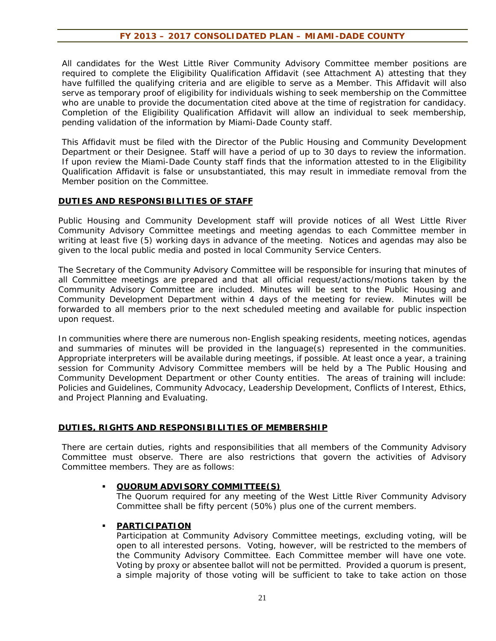All candidates for the West Little River Community Advisory Committee member positions are required to complete the Eligibility Qualification Affidavit (see Attachment A) attesting that they have fulfilled the qualifying criteria and are eligible to serve as a Member. This Affidavit will also serve as temporary proof of eligibility for individuals wishing to seek membership on the Committee who are unable to provide the documentation cited above at the time of registration for candidacy. Completion of the Eligibility Qualification Affidavit will allow an individual to seek membership, pending validation of the information by Miami-Dade County staff.

This Affidavit must be filed with the Director of the Public Housing and Community Development Department or their Designee. Staff will have a period of up to 30 days to review the information. If upon review the Miami-Dade County staff finds that the information attested to in the Eligibility Qualification Affidavit is false or unsubstantiated, this may result in immediate removal from the Member position on the Committee.

#### **DUTIES AND RESPONSIBILITIES OF STAFF**

Public Housing and Community Development staff will provide notices of all West Little River Community Advisory Committee meetings and meeting agendas to each Committee member in writing at least five (5) working days in advance of the meeting. Notices and agendas may also be given to the local public media and posted in local Community Service Centers.

The Secretary of the Community Advisory Committee will be responsible for insuring that minutes of all Committee meetings are prepared and that all official request/actions/motions taken by the Community Advisory Committee are included. Minutes will be sent to the Public Housing and Community Development Department within 4 days of the meeting for review. Minutes will be forwarded to all members prior to the next scheduled meeting and available for public inspection upon request.

In communities where there are numerous non-English speaking residents, meeting notices, agendas and summaries of minutes will be provided in the language(s) represented in the communities. Appropriate interpreters will be available during meetings, if possible. At least once a year, a training session for Community Advisory Committee members will be held by a The Public Housing and Community Development Department or other County entities. The areas of training will include: Policies and Guidelines, Community Advocacy, Leadership Development, Conflicts of Interest, Ethics, and Project Planning and Evaluating.

### **DUTIES, RIGHTS AND RESPONSIBILITIES OF MEMBERSHIP**

There are certain duties, rights and responsibilities that all members of the Community Advisory Committee must observe. There are also restrictions that govern the activities of Advisory Committee members. They are as follows:

#### **QUORUM ADVISORY COMMITTEE(S)**

The Quorum required for any meeting of the West Little River Community Advisory Committee shall be fifty percent (50%) plus one of the current members.

#### **PARTICIPATION**

Participation at Community Advisory Committee meetings, excluding voting, will be open to all interested persons. Voting, however, will be restricted to the members of the Community Advisory Committee. Each Committee member will have one vote. Voting by proxy or absentee ballot will not be permitted. Provided a quorum is present, a simple majority of those voting will be sufficient to take to take action on those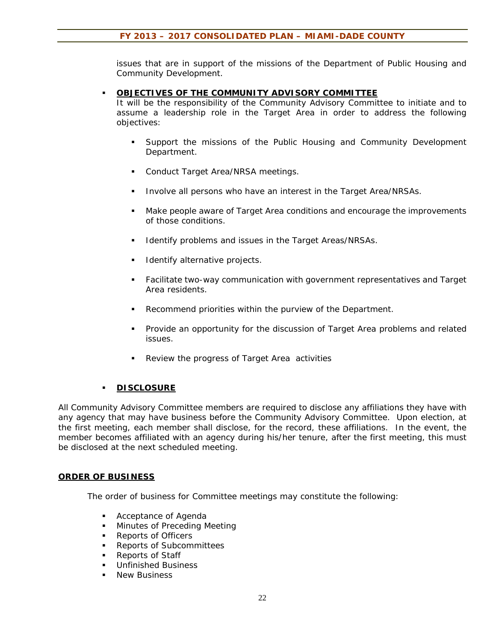issues that are in support of the missions of the Department of Public Housing and Community Development.

#### **OBJECTIVES OF THE COMMUNITY ADVISORY COMMITTEE**

It will be the responsibility of the Community Advisory Committee to initiate and to assume a leadership role in the Target Area in order to address the following objectives:

- **Support the missions of the Public Housing and Community Development** Department.
- **Conduct Target Area/NRSA meetings.**
- **Involve all persons who have an interest in the Target Area/NRSAs.**
- Make people aware of Target Area conditions and encourage the improvements of those conditions.
- Identify problems and issues in the Target Areas/NRSAs.
- Identify alternative projects.
- Facilitate two-way communication with government representatives and Target Area residents.
- Recommend priorities within the purview of the Department.
- Provide an opportunity for the discussion of Target Area problems and related issues.
- Review the progress of Target Area activities

### **DISCLOSURE**

All Community Advisory Committee members are required to disclose any affiliations they have with any agency that may have business before the Community Advisory Committee. Upon election, at the first meeting, each member shall disclose, for the record, these affiliations. In the event, the member becomes affiliated with an agency during his/her tenure, after the first meeting, this must be disclosed at the next scheduled meeting.

#### **ORDER OF BUSINESS**

The order of business for Committee meetings may constitute the following:

- **Acceptance of Agenda**
- **Minutes of Preceding Meeting**
- Reports of Officers
- Reports of Subcommittees
- Reports of Staff
- **Unfinished Business**
- New Business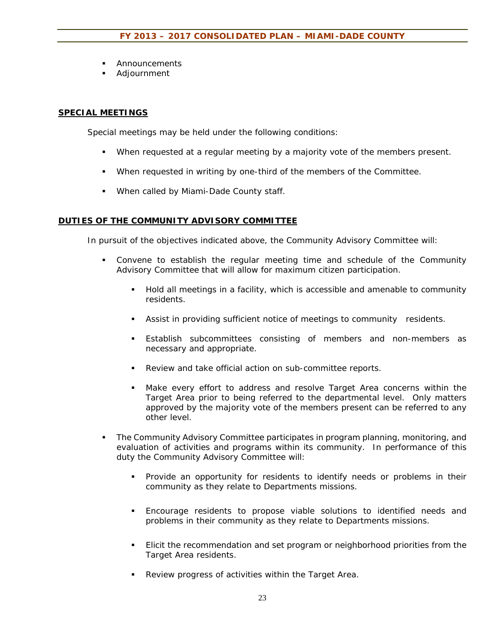- **Announcements**
- Adjournment

### **SPECIAL MEETINGS**

Special meetings may be held under the following conditions:

- When requested at a regular meeting by a majority vote of the members present.
- When requested in writing by one-third of the members of the Committee.
- **When called by Miami-Dade County staff.**

#### **DUTIES OF THE COMMUNITY ADVISORY COMMITTEE**

In pursuit of the objectives indicated above, the Community Advisory Committee will:

- Convene to establish the regular meeting time and schedule of the Community Advisory Committee that will allow for maximum citizen participation.
	- Hold all meetings in a facility, which is accessible and amenable to community residents.
	- Assist in providing sufficient notice of meetings to community residents.
	- Establish subcommittees consisting of members and non-members as necessary and appropriate.
	- Review and take official action on sub-committee reports.
	- Make every effort to address and resolve Target Area concerns within the Target Area prior to being referred to the departmental level. Only matters approved by the majority vote of the members present can be referred to any other level.
- The Community Advisory Committee participates in program planning, monitoring, and evaluation of activities and programs within its community. In performance of this duty the Community Advisory Committee will:
	- Provide an opportunity for residents to identify needs or problems in their community as they relate to Departments missions.
	- Encourage residents to propose viable solutions to identified needs and problems in their community as they relate to Departments missions.
	- Elicit the recommendation and set program or neighborhood priorities from the Target Area residents.
	- Review progress of activities within the Target Area.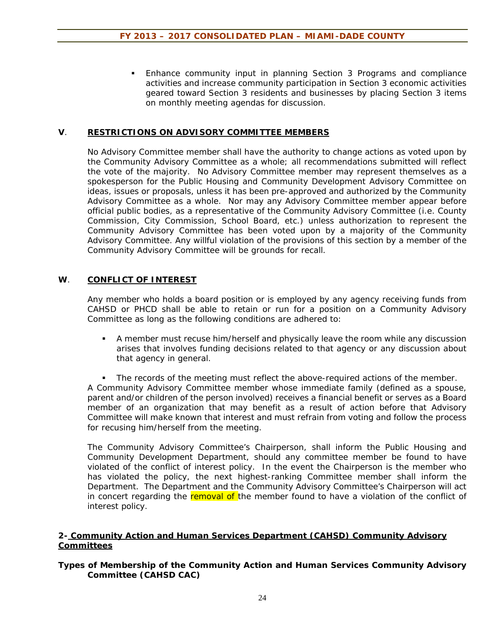Enhance community input in planning Section 3 Programs and compliance activities and increase community participation in Section 3 economic activities geared toward Section 3 residents and businesses by placing Section 3 items on monthly meeting agendas for discussion.

### **V**. **RESTRICTIONS ON ADVISORY COMMITTEE MEMBERS**

No Advisory Committee member shall have the authority to change actions as voted upon by the Community Advisory Committee as a whole; all recommendations submitted will reflect the vote of the majority. No Advisory Committee member may represent themselves as a spokesperson for the Public Housing and Community Development Advisory Committee on ideas, issues or proposals, unless it has been pre-approved and authorized by the Community Advisory Committee as a whole. Nor may any Advisory Committee member appear before official public bodies, as a representative of the Community Advisory Committee (i.e. County Commission, City Commission, School Board, etc.) unless authorization to represent the Community Advisory Committee has been voted upon by a majority of the Community Advisory Committee. Any willful violation of the provisions of this section by a member of the Community Advisory Committee will be grounds for recall.

### **W**. **CONFLICT OF INTEREST**

Any member who holds a board position or is employed by any agency receiving funds from CAHSD or PHCD shall be able to retain or run for a position on a Community Advisory Committee as long as the following conditions are adhered to:

 A member must recuse him/herself and physically leave the room while any discussion arises that involves funding decisions related to that agency or any discussion about that agency in general.

 The records of the meeting must reflect the above-required actions of the member. A Community Advisory Committee member whose immediate family (defined as a spouse, parent and/or children of the person involved) receives a financial benefit or serves as a Board member of an organization that may benefit as a result of action before that Advisory Committee will make known that interest and must refrain from voting and follow the process for recusing him/herself from the meeting.

The Community Advisory Committee's Chairperson, shall inform the Public Housing and Community Development Department, should any committee member be found to have violated of the conflict of interest policy. In the event the Chairperson is the member who has violated the policy, the next highest-ranking Committee member shall inform the Department. The Department and the Community Advisory Committee's Chairperson will act in concert regarding the removal of the member found to have a violation of the conflict of interest policy.

#### **2- Community Action and Human Services Department (CAHSD) Community Advisory Committees**

### **Types of Membership of the Community Action and Human Services Community Advisory Committee (CAHSD CAC)**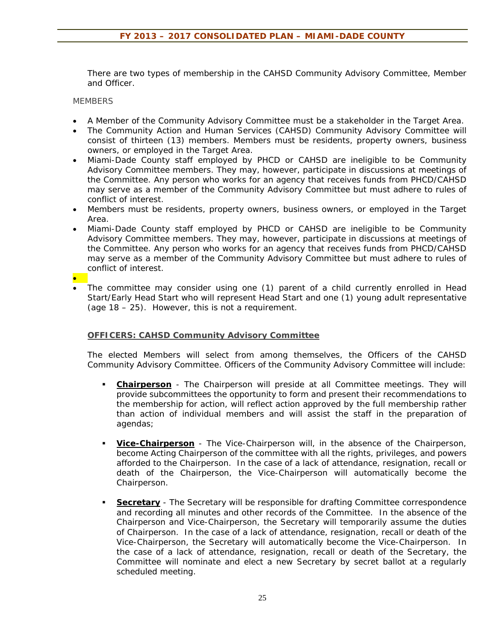There are two types of membership in the CAHSD Community Advisory Committee, Member and Officer.

**MEMBERS** 

- A Member of the Community Advisory Committee must be a stakeholder in the Target Area.
- The Community Action and Human Services (CAHSD) Community Advisory Committee will consist of thirteen (13) members. Members must be residents, property owners, business owners, or employed in the Target Area.
- Miami-Dade County staff employed by PHCD or CAHSD are ineligible to be Community Advisory Committee members. They may, however, participate in discussions at meetings of the Committee. Any person who works for an agency that receives funds from PHCD/CAHSD may serve as a member of the Community Advisory Committee but must adhere to rules of conflict of interest.
- Members must be residents, property owners, business owners, or employed in the Target Area.
- Miami-Dade County staff employed by PHCD or CAHSD are ineligible to be Community Advisory Committee members. They may, however, participate in discussions at meetings of the Committee. Any person who works for an agency that receives funds from PHCD/CAHSD may serve as a member of the Community Advisory Committee but must adhere to rules of conflict of interest.
- $\bullet$  The committee may consider using one (1) parent of a child currently enrolled in Head Start/Early Head Start who will represent Head Start and one (1) young adult representative (age 18 – 25). However, this is not a requirement.

### **OFFICERS: CAHSD Community Advisory Committee**

The elected Members will select from among themselves, the Officers of the CAHSD Community Advisory Committee. Officers of the Community Advisory Committee will include:

- **Chairperson** The Chairperson will preside at all Committee meetings. They will provide subcommittees the opportunity to form and present their recommendations to the membership for action, will reflect action approved by the full membership rather than action of individual members and will assist the staff in the preparation of agendas;
- **Vice-Chairperson** The Vice-Chairperson will, in the absence of the Chairperson, become Acting Chairperson of the committee with all the rights, privileges, and powers afforded to the Chairperson. In the case of a lack of attendance, resignation, recall or death of the Chairperson, the Vice-Chairperson will automatically become the Chairperson.
- **Secretary** The Secretary will be responsible for drafting Committee correspondence and recording all minutes and other records of the Committee. In the absence of the Chairperson and Vice-Chairperson, the Secretary will temporarily assume the duties of Chairperson. In the case of a lack of attendance, resignation, recall or death of the Vice-Chairperson, the Secretary will automatically become the Vice-Chairperson. In the case of a lack of attendance, resignation, recall or death of the Secretary, the Committee will nominate and elect a new Secretary by secret ballot at a regularly scheduled meeting.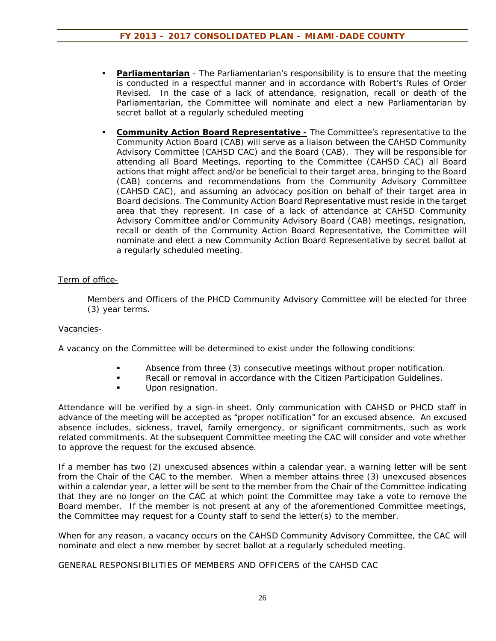- **Parliamentarian** The Parliamentarian's responsibility is to ensure that the meeting is conducted in a respectful manner and in accordance with Robert's Rules of Order Revised. In the case of a lack of attendance, resignation, recall or death of the Parliamentarian, the Committee will nominate and elect a new Parliamentarian by secret ballot at a regularly scheduled meeting
- **Community Action Board Representative -** The Committee's representative to the Community Action Board (CAB) will serve as a liaison between the CAHSD Community Advisory Committee (CAHSD CAC) and the Board (CAB). They will be responsible for attending all Board Meetings, reporting to the Committee (CAHSD CAC) all Board actions that might affect and/or be beneficial to their target area, bringing to the Board (CAB) concerns and recommendations from the Community Advisory Committee (CAHSD CAC), and assuming an advocacy position on behalf of their target area in Board decisions. The Community Action Board Representative must reside in the target area that they represent. In case of a lack of attendance at CAHSD Community Advisory Committee and/or Community Advisory Board (CAB) meetings, resignation, recall or death of the Community Action Board Representative, the Committee will nominate and elect a new Community Action Board Representative by secret ballot at a regularly scheduled meeting.

# Term of office-

Members and Officers of the PHCD Community Advisory Committee will be elected for three (3) year terms.

# Vacancies-

A vacancy on the Committee will be determined to exist under the following conditions:

- Absence from three (3) consecutive meetings without proper notification.
- Recall or removal in accordance with the Citizen Participation Guidelines.
- Upon resignation.

Attendance will be verified by a sign-in sheet. Only communication with CAHSD or PHCD staff in advance of the meeting will be accepted as "proper notification" for an excused absence. An excused absence includes, sickness, travel, family emergency, or significant commitments, such as work related commitments. At the subsequent Committee meeting the CAC will consider and vote whether to approve the request for the excused absence.

If a member has two (2) unexcused absences within a calendar year, a warning letter will be sent from the Chair of the CAC to the member. When a member attains three (3) unexcused absences within a calendar year, a letter will be sent to the member from the Chair of the Committee indicating that they are no longer on the CAC at which point the Committee may take a vote to remove the Board member. If the member is not present at any of the aforementioned Committee meetings, the Committee may request for a County staff to send the letter(s) to the member.

When for any reason, a vacancy occurs on the CAHSD Community Advisory Committee, the CAC will nominate and elect a new member by secret ballot at a regularly scheduled meeting.

### GENERAL RESPONSIBILITIES OF MEMBERS AND OFFICERS of the CAHSD CAC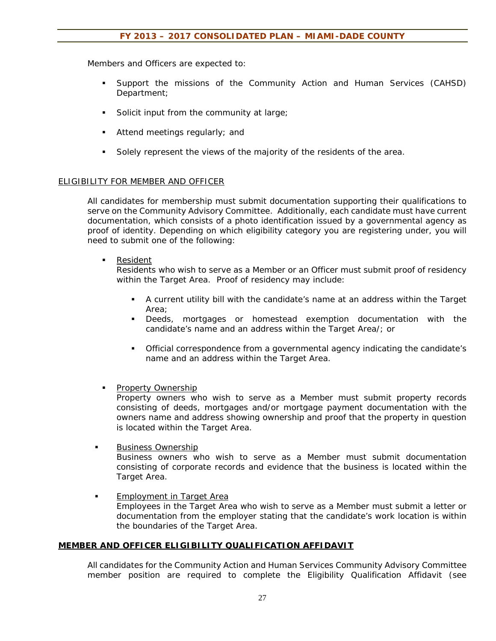Members and Officers are expected to:

- Support the missions of the Community Action and Human Services (CAHSD) Department;
- Solicit input from the community at large;
- Attend meetings regularly; and
- Solely represent the views of the majority of the residents of the area.

### ELIGIBILITY FOR MEMBER AND OFFICER

All candidates for membership must submit documentation supporting their qualifications to serve on the Community Advisory Committee. Additionally, each candidate must have current documentation, which consists of a photo identification issued by a governmental agency as proof of identity. Depending on which eligibility category you are registering under, you will need to submit one of the following:

**Resident** 

Residents who wish to serve as a Member or an Officer must submit proof of residency within the Target Area. Proof of residency may include:

- A current utility bill with the candidate's name at an address within the Target Area;
- Deeds, mortgages or homestead exemption documentation with the candidate's name and an address within the Target Area/; or
- Official correspondence from a governmental agency indicating the candidate's name and an address within the Target Area.
- **Property Ownership**

Property owners who wish to serve as a Member must submit property records consisting of deeds, mortgages and/or mortgage payment documentation with the owners name and address showing ownership and proof that the property in question is located within the Target Area.

Business Ownership

Business owners who wish to serve as a Member must submit documentation consisting of corporate records and evidence that the business is located within the Target Area.

 Employment in Target Area Employees in the Target Area who wish to serve as a Member must submit a letter or documentation from the employer stating that the candidate's work location is within the boundaries of the Target Area.

### **MEMBER AND OFFICER ELIGIBILITY QUALIFICATION AFFIDAVIT**

All candidates for the Community Action and Human Services Community Advisory Committee member position are required to complete the Eligibility Qualification Affidavit (see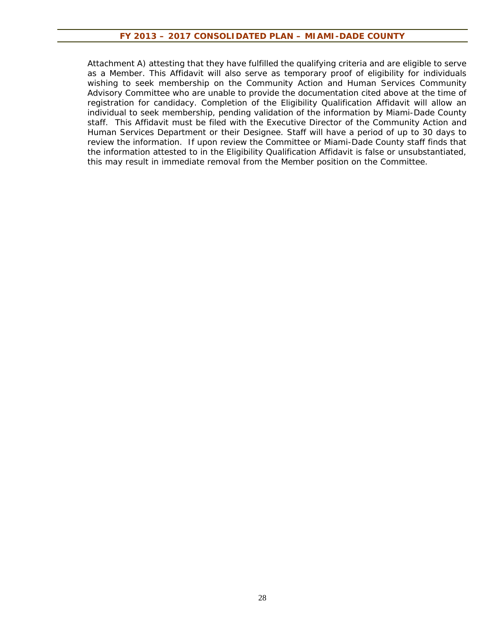Attachment A) attesting that they have fulfilled the qualifying criteria and are eligible to serve as a Member. This Affidavit will also serve as temporary proof of eligibility for individuals wishing to seek membership on the Community Action and Human Services Community Advisory Committee who are unable to provide the documentation cited above at the time of registration for candidacy. Completion of the Eligibility Qualification Affidavit will allow an individual to seek membership, pending validation of the information by Miami-Dade County staff. This Affidavit must be filed with the Executive Director of the Community Action and Human Services Department or their Designee. Staff will have a period of up to 30 days to review the information. If upon review the Committee or Miami-Dade County staff finds that the information attested to in the Eligibility Qualification Affidavit is false or unsubstantiated, this may result in immediate removal from the Member position on the Committee.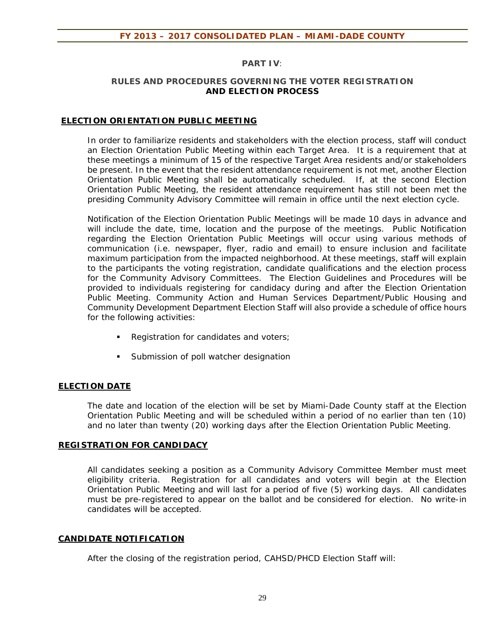## **PART IV***:*

#### **RULES AND PROCEDURES GOVERNING THE VOTER REGISTRATION AND ELECTION PROCESS**

### **ELECTION ORIENTATION PUBLIC MEETING**

In order to familiarize residents and stakeholders with the election process, staff will conduct an Election Orientation Public Meeting within each Target Area. It is a requirement that at these meetings a minimum of 15 of the respective Target Area residents and/or stakeholders be present. In the event that the resident attendance requirement is not met, another Election Orientation Public Meeting shall be automatically scheduled. If, at the second Election Orientation Public Meeting, the resident attendance requirement has still not been met the presiding Community Advisory Committee will remain in office until the next election cycle.

Notification of the Election Orientation Public Meetings will be made 10 days in advance and will include the date, time, location and the purpose of the meetings. Public Notification regarding the Election Orientation Public Meetings will occur using various methods of communication (i.e. newspaper, flyer, radio and email) to ensure inclusion and facilitate maximum participation from the impacted neighborhood. At these meetings, staff will explain to the participants the voting registration, candidate qualifications and the election process for the Community Advisory Committees.The Election Guidelines and Procedures will be provided to individuals registering for candidacy during and after the Election Orientation Public Meeting. Community Action and Human Services Department/Public Housing and Community Development Department Election Staff will also provide a schedule of office hours for the following activities:

- Registration for candidates and voters;
- **Submission of poll watcher designation**

# **ELECTION DATE**

The date and location of the election will be set by Miami-Dade County staff at the Election Orientation Public Meeting and will be scheduled within a period of no earlier than ten (10) and no later than twenty (20) working days after the Election Orientation Public Meeting.

### **REGISTRATION FOR CANDIDACY**

All candidates seeking a position as a Community Advisory Committee Member must meet eligibility criteria. Registration for all candidates and voters will begin at the Election Orientation Public Meeting and will last for a period of five (5) working days. All candidates must be pre-registered to appear on the ballot and be considered for election. No write-in candidates will be accepted.

### **CANDIDATE NOTIFICATION**

After the closing of the registration period, CAHSD/PHCD Election Staff will: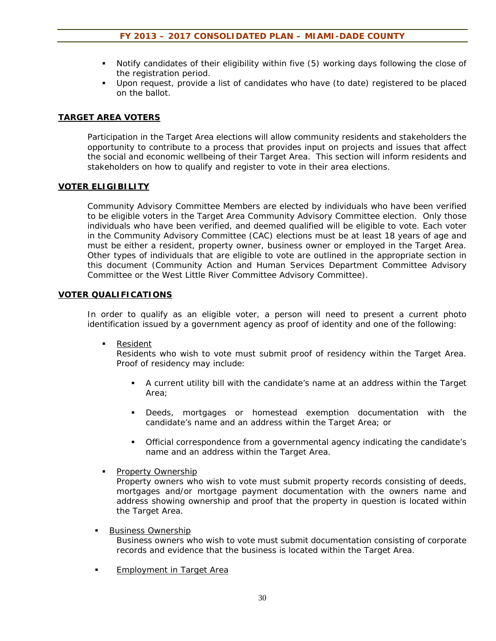- Notify candidates of their eligibility within five (5) working days following the close of the registration period.
- Upon request, provide a list of candidates who have (to date) registered to be placed on the ballot.

# **TARGET AREA VOTERS**

Participation in the Target Area elections will allow community residents and stakeholders the opportunity to contribute to a process that provides input on projects and issues that affect the social and economic wellbeing of their Target Area. This section will inform residents and stakeholders on how to qualify and register to vote in their area elections.

### **VOTER ELIGIBILITY**

Community Advisory Committee Members are elected by individuals who have been verified to be eligible voters in the Target Area Community Advisory Committee election. Only those individuals who have been verified, and deemed qualified will be eligible to vote. Each voter in the Community Advisory Committee (CAC) elections must be at least 18 years of age and must be either a resident, property owner, business owner or employed in the Target Area. Other types of individuals that are eligible to vote are outlined in the appropriate section in this document (Community Action and Human Services Department Committee Advisory Committee or the West Little River Committee Advisory Committee).

#### **VOTER QUALIFICATIONS**

In order to qualify as an eligible voter, a person will need to present a current photo identification issued by a government agency as proof of identity and one of the following:

**Resident** 

Residents who wish to vote must submit proof of residency within the Target Area. Proof of residency may include:

- A current utility bill with the candidate's name at an address within the Target Area;
- Deeds, mortgages or homestead exemption documentation with the candidate's name and an address within the Target Area; or
- Official correspondence from a governmental agency indicating the candidate's name and an address within the Target Area.
- **Property Ownership**

Property owners who wish to vote must submit property records consisting of deeds, mortgages and/or mortgage payment documentation with the owners name and address showing ownership and proof that the property in question is located within the Target Area.

Business Ownership

Business owners who wish to vote must submit documentation consisting of corporate records and evidence that the business is located within the Target Area.

**Employment in Target Area**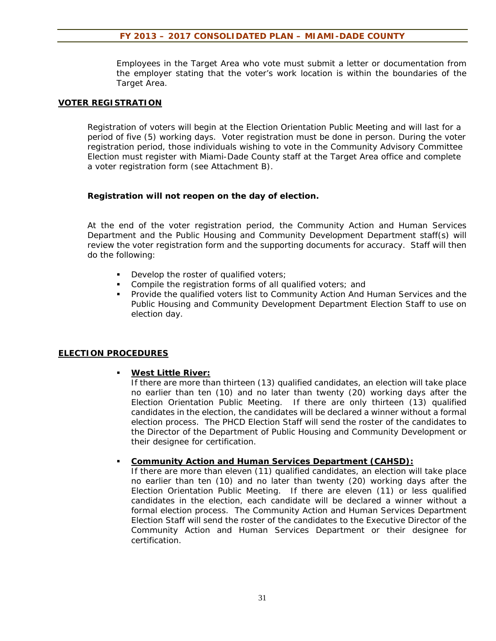Employees in the Target Area who vote must submit a letter or documentation from the employer stating that the voter's work location is within the boundaries of the Target Area.

#### **VOTER REGISTRATION**

Registration of voters will begin at the Election Orientation Public Meeting and will last for a period of five (5) working days. Voter registration must be done in person. During the voter registration period, those individuals wishing to vote in the Community Advisory Committee Election must register with Miami-Dade County staff at the Target Area office and complete a voter registration form (see Attachment B).

#### **Registration will not reopen on the day of election.**

At the end of the voter registration period, the Community Action and Human Services Department and the Public Housing and Community Development Department staff(s) will review the voter registration form and the supporting documents for accuracy. Staff will then do the following:

- Develop the roster of qualified voters;
- **Compile the registration forms of all qualified voters; and**
- **Provide the qualified voters list to Community Action And Human Services and the** Public Housing and Community Development Department Election Staff to use on election day.

#### **ELECTION PROCEDURES**

#### **West Little River:**

If there are more than thirteen (13) qualified candidates, an election will take place no earlier than ten (10) and no later than twenty (20) working days after the Election Orientation Public Meeting. If there are only thirteen (13) qualified candidates in the election, the candidates will be declared a winner without a formal election process. The PHCD Election Staff will send the roster of the candidates to the Director of the Department of Public Housing and Community Development or their designee for certification.

#### **Community Action and Human Services Department (CAHSD):**

If there are more than eleven (11) qualified candidates, an election will take place no earlier than ten (10) and no later than twenty (20) working days after the Election Orientation Public Meeting. If there are eleven (11) or less qualified candidates in the election, each candidate will be declared a winner without a formal election process. The Community Action and Human Services Department Election Staff will send the roster of the candidates to the Executive Director of the Community Action and Human Services Department or their designee for certification.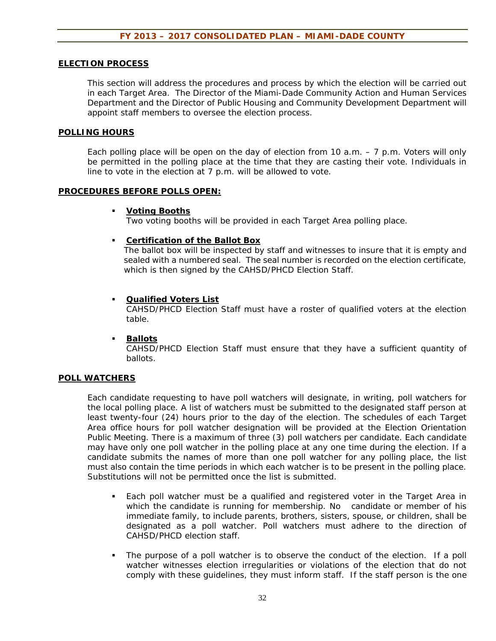#### **ELECTION PROCESS**

This section will address the procedures and process by which the election will be carried out in each Target Area. The Director of the Miami-Dade Community Action and Human Services Department and the Director of Public Housing and Community Development Department will appoint staff members to oversee the election process.

#### **POLLING HOURS**

Each polling place will be open on the day of election from 10 a.m.  $-7$  p.m. Voters will only be permitted in the polling place at the time that they are casting their vote. Individuals in line to vote in the election at 7 p.m. will be allowed to vote.

#### **PROCEDURES BEFORE POLLS OPEN:**

#### **Voting Booths**

Two voting booths will be provided in each Target Area polling place.

#### **Certification of the Ballot Box**

The ballot box will be inspected by staff and witnesses to insure that it is empty and sealed with a numbered seal. The seal number is recorded on the election certificate, which is then signed by the CAHSD/PHCD Election Staff.

#### **Qualified Voters List**

CAHSD/PHCD Election Staff must have a roster of qualified voters at the election table.

#### **Ballots**

CAHSD/PHCD Election Staff must ensure that they have a sufficient quantity of ballots.

#### **POLL WATCHERS**

Each candidate requesting to have poll watchers will designate, in writing, poll watchers for the local polling place. A list of watchers must be submitted to the designated staff person at least twenty-four (24) hours prior to the day of the election. The schedules of each Target Area office hours for poll watcher designation will be provided at the Election Orientation Public Meeting. There is a maximum of three (3) poll watchers per candidate. Each candidate may have only one poll watcher in the polling place at any one time during the election. If a candidate submits the names of more than one poll watcher for any polling place, the list must also contain the time periods in which each watcher is to be present in the polling place. Substitutions will not be permitted once the list is submitted.

- Each poll watcher must be a qualified and registered voter in the Target Area in which the candidate is running for membership. No candidate or member of his immediate family, to include parents, brothers, sisters, spouse, or children, shall be designated as a poll watcher. Poll watchers must adhere to the direction of CAHSD/PHCD election staff.
- The purpose of a poll watcher is to observe the conduct of the election. If a poll watcher witnesses election irregularities or violations of the election that do not comply with these guidelines, they must inform staff. If the staff person is the one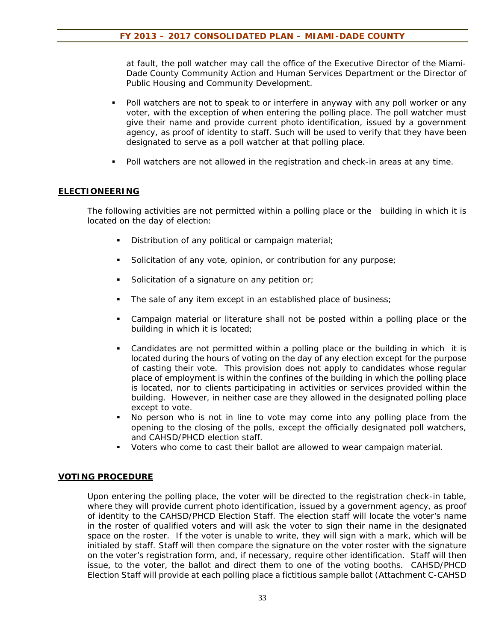at fault, the poll watcher may call the office of the Executive Director of the Miami-Dade County Community Action and Human Services Department or the Director of Public Housing and Community Development.

- Poll watchers are not to speak to or interfere in anyway with any poll worker or any voter, with the exception of when entering the polling place. The poll watcher must give their name and provide current photo identification, issued by a government agency, as proof of identity to staff. Such will be used to verify that they have been designated to serve as a poll watcher at that polling place.
- Poll watchers are not allowed in the registration and check-in areas at any time.

### **ELECTIONEERING**

The following activities are not permitted within a polling place or the building in which it is located on the day of election:

- Distribution of any political or campaign material;
- Solicitation of any vote, opinion, or contribution for any purpose;
- Solicitation of a signature on any petition or;
- The sale of any item except in an established place of business;
- Campaign material or literature shall not be posted within a polling place or the building in which it is located;
- Candidates are not permitted within a polling place or the building in which it is located during the hours of voting on the day of any election except for the purpose of casting their vote. This provision does not apply to candidates whose regular place of employment is within the confines of the building in which the polling place is located, nor to clients participating in activities or services provided within the building. However, in neither case are they allowed in the designated polling place except to vote.
- No person who is not in line to vote may come into any polling place from the opening to the closing of the polls, except the officially designated poll watchers, and CAHSD/PHCD election staff.
- Voters who come to cast their ballot are allowed to wear campaign material.

### **VOTING PROCEDURE**

Upon entering the polling place, the voter will be directed to the registration check-in table, where they will provide current photo identification, issued by a government agency, as proof of identity to the CAHSD/PHCD Election Staff. The election staff will locate the voter's name in the roster of qualified voters and will ask the voter to sign their name in the designated space on the roster. If the voter is unable to write, they will sign with a mark, which will be initialed by staff. Staff will then compare the signature on the voter roster with the signature on the voter's registration form, and, if necessary, require other identification. Staff will then issue, to the voter, the ballot and direct them to one of the voting booths. CAHSD/PHCD Election Staff will provide at each polling place a fictitious sample ballot (Attachment C-CAHSD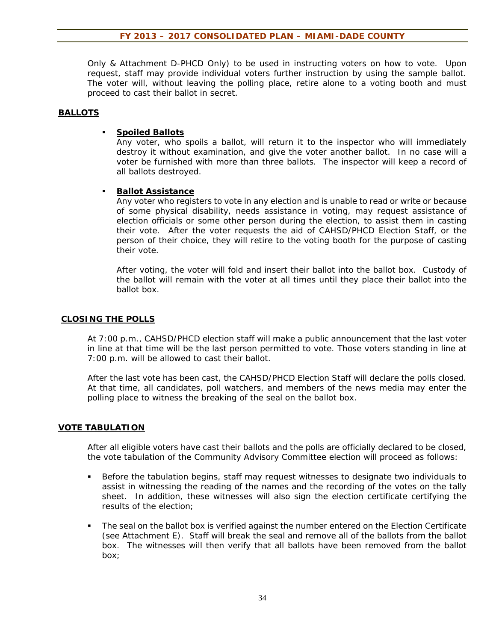Only & Attachment D-PHCD Only) to be used in instructing voters on how to vote. Upon request, staff may provide individual voters further instruction by using the sample ballot. The voter will, without leaving the polling place, retire alone to a voting booth and must proceed to cast their ballot in secret.

### **BALLOTS**

### **Spoiled Ballots**

Any voter, who spoils a ballot, will return it to the inspector who will immediately destroy it without examination, and give the voter another ballot. In no case will a voter be furnished with more than three ballots. The inspector will keep a record of all ballots destroyed.

### **Ballot Assistance**

Any voter who registers to vote in any election and is unable to read or write or because of some physical disability, needs assistance in voting, may request assistance of election officials or some other person during the election, to assist them in casting their vote. After the voter requests the aid of CAHSD/PHCD Election Staff, or the person of their choice, they will retire to the voting booth for the purpose of casting their vote.

After voting, the voter will fold and insert their ballot into the ballot box. Custody of the ballot will remain with the voter at all times until they place their ballot into the ballot box.

#### **CLOSING THE POLLS**

At 7:00 p.m., CAHSD/PHCD election staff will make a public announcement that the last voter in line at that time will be the last person permitted to vote. Those voters standing in line at 7:00 p.m. will be allowed to cast their ballot.

After the last vote has been cast, the CAHSD/PHCD Election Staff will declare the polls closed. At that time, all candidates, poll watchers, and members of the news media may enter the polling place to witness the breaking of the seal on the ballot box.

### **VOTE TABULATION**

After all eligible voters have cast their ballots and the polls are officially declared to be closed, the vote tabulation of the Community Advisory Committee election will proceed as follows:

- **Before the tabulation begins, staff may request witnesses to designate two individuals to** assist in witnessing the reading of the names and the recording of the votes on the tally sheet. In addition, these witnesses will also sign the election certificate certifying the results of the election;
- The seal on the ballot box is verified against the number entered on the Election Certificate (see Attachment E). Staff will break the seal and remove all of the ballots from the ballot box. The witnesses will then verify that all ballots have been removed from the ballot box;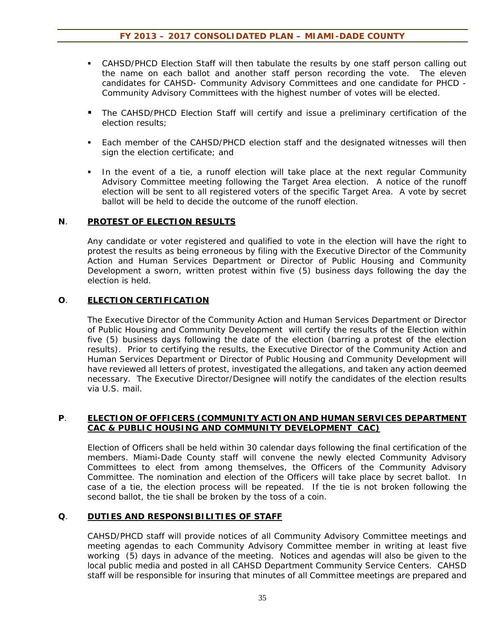- CAHSD/PHCD Election Staff will then tabulate the results by one staff person calling out the name on each ballot and another staff person recording the vote. The eleven candidates for CAHSD- Community Advisory Committees and one candidate for PHCD - Community Advisory Committees with the highest number of votes will be elected.
- The CAHSD/PHCD Election Staff will certify and issue a preliminary certification of the election results;
- Each member of the CAHSD/PHCD election staff and the designated witnesses will then sign the election certificate; and
- In the event of a tie, a runoff election will take place at the next regular Community Advisory Committee meeting following the Target Area election. A notice of the runoff election will be sent to all registered voters of the specific Target Area. A vote by secret ballot will be held to decide the outcome of the runoff election.

#### **N**. **PROTEST OF ELECTION RESULTS**

Any candidate or voter registered and qualified to vote in the election will have the right to protest the results as being erroneous by filing with the Executive Director of the Community Action and Human Services Department or Director of Public Housing and Community Development a sworn, written protest within five (5) business days following the day the election is held.

### **O**. **ELECTION CERTIFICATION**

The Executive Director of the Community Action and Human Services Department or Director of Public Housing and Community Development will certify the results of the Election within five (5) business days following the date of the election (barring a protest of the election results). Prior to certifying the results, the Executive Director of the Community Action and Human Services Department or Director of Public Housing and Community Development will have reviewed all letters of protest, investigated the allegations, and taken any action deemed necessary. The Executive Director/Designee will notify the candidates of the election results via U.S. mail.

### **P**. **ELECTION OF OFFICERS (COMMUNITY ACTION AND HUMAN SERVICES DEPARTMENT CAC & PUBLIC HOUSING AND COMMUNITY DEVELOPMENT CAC)**

Election of Officers shall be held within 30 calendar days following the final certification of the members. Miami-Dade County staff will convene the newly elected Community Advisory Committees to elect from among themselves, the Officers of the Community Advisory Committee. The nomination and election of the Officers will take place by secret ballot. In case of a tie, the election process will be repeated. If the tie is not broken following the second ballot, the tie shall be broken by the toss of a coin.

### **Q**. **DUTIES AND RESPONSIBILITIES OF STAFF**

CAHSD/PHCD staff will provide notices of all Community Advisory Committee meetings and meeting agendas to each Community Advisory Committee member in writing at least five working (5) days in advance of the meeting. Notices and agendas will also be given to the local public media and posted in all CAHSD Department Community Service Centers. CAHSD staff will be responsible for insuring that minutes of all Committee meetings are prepared and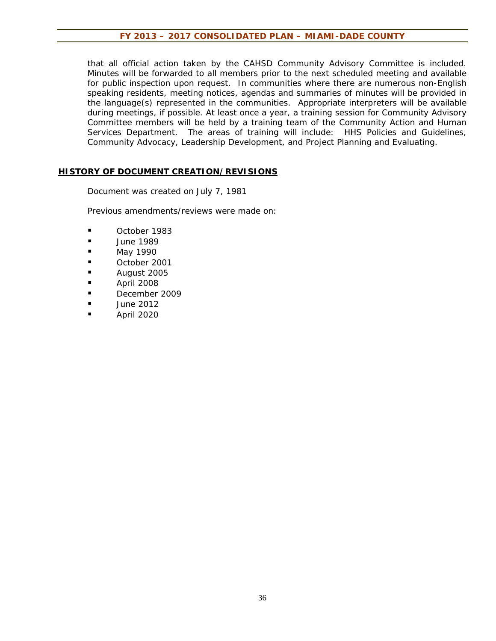that all official action taken by the CAHSD Community Advisory Committee is included. Minutes will be forwarded to all members prior to the next scheduled meeting and available for public inspection upon request. In communities where there are numerous non-English speaking residents, meeting notices, agendas and summaries of minutes will be provided in the language(s) represented in the communities. Appropriate interpreters will be available during meetings, if possible. At least once a year, a training session for Community Advisory Committee members will be held by a training team of the Community Action and Human Services Department. The areas of training will include: HHS Policies and Guidelines, Community Advocacy, Leadership Development, and Project Planning and Evaluating.

#### **HISTORY OF DOCUMENT CREATION/REVISIONS**

Document was created on July 7, 1981

Previous amendments/reviews were made on:

- **Decry** October 1983
- **June 1989**
- May 1990
- **October 2001**
- August 2005
- April 2008
- December 2009
- $\blacksquare$  June 2012
- April 2020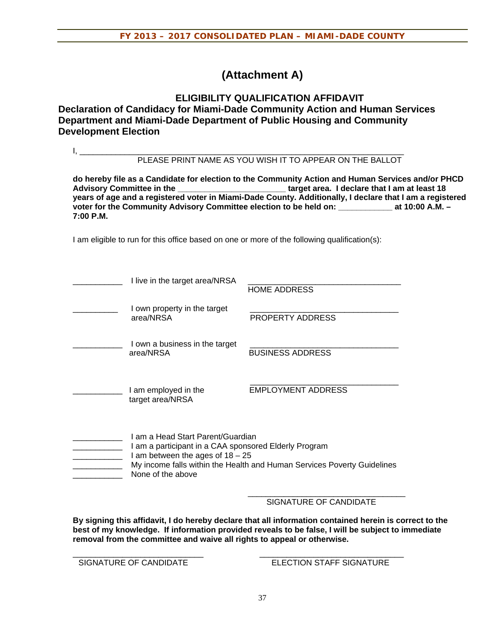# **(Attachment A)**

# **ELIGIBILITY QUALIFICATION AFFIDAVIT Declaration of Candidacy for Miami-Dade Community Action and Human Services Department and Miami-Dade Department of Public Housing and Community Development Election**

|                                                                                                                                                                                                                                                                                                                                                                                                                                      |                                                                                                                                                       | PLEASE PRINT NAME AS YOU WISH IT TO APPEAR ON THE BALLOT                                     |  |  |  |
|--------------------------------------------------------------------------------------------------------------------------------------------------------------------------------------------------------------------------------------------------------------------------------------------------------------------------------------------------------------------------------------------------------------------------------------|-------------------------------------------------------------------------------------------------------------------------------------------------------|----------------------------------------------------------------------------------------------|--|--|--|
| do hereby file as a Candidate for election to the Community Action and Human Services and/or PHCD<br>Advisory Committee in the ___________________________target area. I declare that I am at least 18<br>years of age and a registered voter in Miami-Dade County. Additionally, I declare that I am a registered<br>voter for the Community Advisory Committee election to be held on: ______________ at 10:00 A.M. -<br>7:00 P.M. |                                                                                                                                                       |                                                                                              |  |  |  |
|                                                                                                                                                                                                                                                                                                                                                                                                                                      |                                                                                                                                                       | I am eligible to run for this office based on one or more of the following qualification(s): |  |  |  |
|                                                                                                                                                                                                                                                                                                                                                                                                                                      | I live in the target area/NRSA                                                                                                                        | <b>HOME ADDRESS</b>                                                                          |  |  |  |
|                                                                                                                                                                                                                                                                                                                                                                                                                                      | I own property in the target<br>area/NRSA                                                                                                             | PROPERTY ADDRESS                                                                             |  |  |  |
|                                                                                                                                                                                                                                                                                                                                                                                                                                      | I own a business in the target<br>area/NRSA                                                                                                           | <b>BUSINESS ADDRESS</b>                                                                      |  |  |  |
|                                                                                                                                                                                                                                                                                                                                                                                                                                      | I am employed in the<br>target area/NRSA                                                                                                              | <b>EMPLOYMENT ADDRESS</b>                                                                    |  |  |  |
|                                                                                                                                                                                                                                                                                                                                                                                                                                      | I am a Head Start Parent/Guardian<br>I am a participant in a CAA sponsored Elderly Program<br>I am between the ages of $18 - 25$<br>None of the above | My income falls within the Health and Human Services Poverty Guidelines                      |  |  |  |

SIGNATURE OF CANDIDATE

**By signing this affidavit, I do hereby declare that all information contained herein is correct to the best of my knowledge. If information provided reveals to be false, I will be subject to immediate removal from the committee and waive all rights to appeal or otherwise.** 

\_\_\_\_\_\_\_\_\_\_\_\_\_\_\_\_\_\_\_\_\_\_\_\_\_\_\_\_\_ \_\_\_\_\_\_\_\_\_\_\_\_\_\_\_\_\_\_\_\_\_\_\_\_\_\_\_\_\_\_\_\_ SIGNATURE OF CANDIDATE ELECTION STAFF SIGNATURE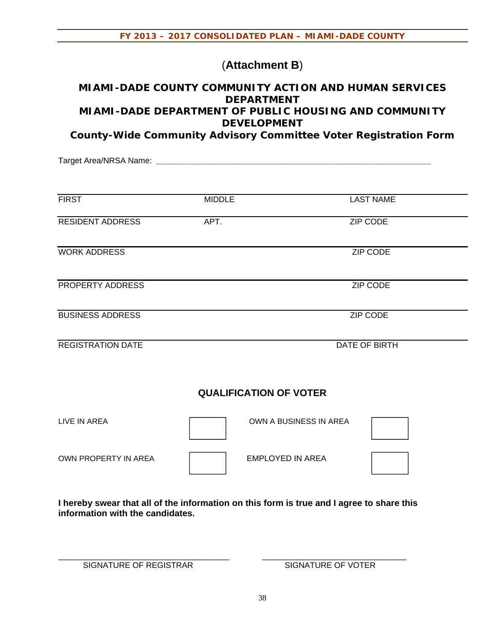# (**Attachment B**)

# **MIAMI-DADE COUNTY COMMUNITY ACTION AND HUMAN SERVICES DEPARTMENT MIAMI-DADE DEPARTMENT OF PUBLIC HOUSING AND COMMUNITY DEVELOPMENT**

**County-Wide Community Advisory Committee Voter Registration Form** 

Target Area/NRSA Name: **\_\_\_\_\_\_\_\_\_\_\_\_\_\_\_\_\_\_\_\_\_\_\_\_\_\_\_\_\_\_\_\_\_\_\_\_\_\_\_\_\_\_\_\_\_\_\_\_\_\_\_\_\_\_\_\_\_\_\_\_\_**

| <b>FIRST</b>             | <b>MIDDLE</b> | <b>LAST NAME</b> |
|--------------------------|---------------|------------------|
| <b>RESIDENT ADDRESS</b>  | APT.          | ZIP CODE         |
| <b>WORK ADDRESS</b>      |               | <b>ZIP CODE</b>  |
| PROPERTY ADDRESS         |               | <b>ZIP CODE</b>  |
| <b>BUSINESS ADDRESS</b>  |               | <b>ZIP CODE</b>  |
| <b>REGISTRATION DATE</b> |               | DATE OF BIRTH    |

# **QUALIFICATION OF VOTER**

| LIVE IN AREA         | OWN A BUSINESS IN AREA |  |
|----------------------|------------------------|--|
| OWN PROPERTY IN AREA | EMPLOYED IN AREA       |  |

**I hereby swear that all of the information on this form is true and I agree to share this information with the candidates.** 

\_\_\_\_\_\_\_\_\_\_\_\_\_\_\_\_\_\_\_\_\_\_\_\_\_\_\_\_\_\_\_\_\_\_\_\_\_\_ \_\_\_\_\_\_\_\_\_\_\_\_\_\_\_\_\_\_\_\_\_\_\_\_\_\_\_\_\_\_\_\_

SIGNATURE OF REGISTRAR SIGNATURE OF VOTER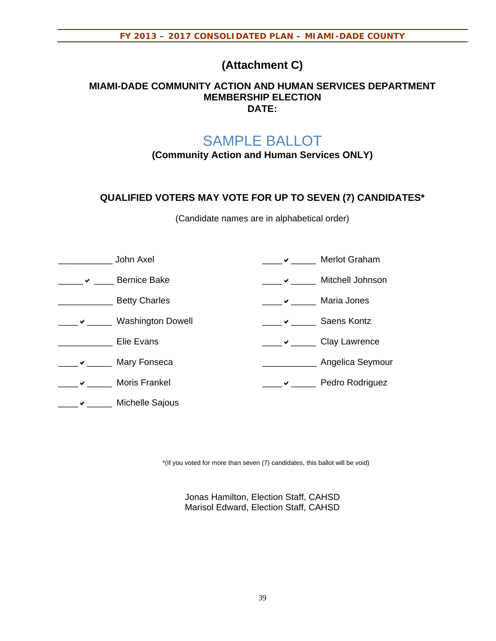# **(Attachment C)**

# **MIAMI-DADE COMMUNITY ACTION AND HUMAN SERVICES DEPARTMENT MEMBERSHIP ELECTION DATE:**

# SAMPLE BALLOT

**(Community Action and Human Services ONLY)** 

# **QUALIFIED VOTERS MAY VOTE FOR UP TO SEVEN (7) CANDIDATES\***

(Candidate names are in alphabetical order)

|   | John Axel                | Merlot Graham      |
|---|--------------------------|--------------------|
| ✔ | <b>Bernice Bake</b>      | Mitchell Johnson   |
|   | <b>Betty Charles</b>     | Maria Jones        |
|   | <b>Washington Dowell</b> | <b>Saens Kontz</b> |
|   | Elie Evans               | Clay Lawrence      |
|   | Mary Fonseca             | Angelica Seymour   |
|   | Moris Frankel            | Pedro Rodriguez    |
|   | Michelle Sajous          |                    |

\*(If you voted for more than seven (7) candidates, this ballot will be void)

Jonas Hamilton, Election Staff, CAHSD Marisol Edward, Election Staff, CAHSD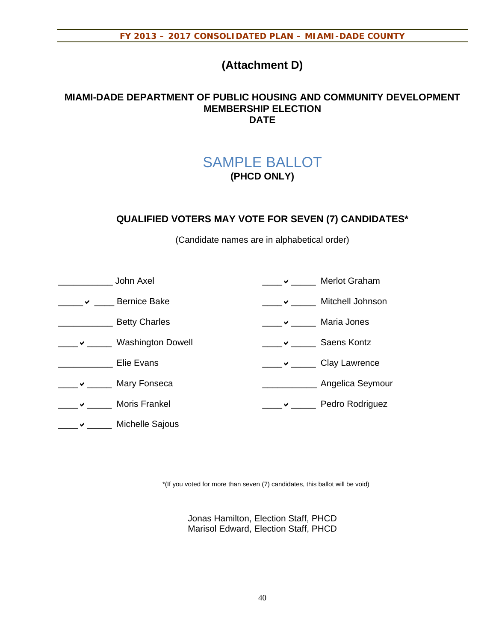# **(Attachment D)**

# **MIAMI-DADE DEPARTMENT OF PUBLIC HOUSING AND COMMUNITY DEVELOPMENT MEMBERSHIP ELECTION DATE**

# SAMPLE BALLOT **(PHCD ONLY)**

# **QUALIFIED VOTERS MAY VOTE FOR SEVEN (7) CANDIDATES\***

(Candidate names are in alphabetical order)

| John Axel                |   | Merlot Graham      |
|--------------------------|---|--------------------|
| <b>Bernice Bake</b>      | ✔ | Mitchell Johnson   |
| <b>Betty Charles</b>     |   | Maria Jones        |
| <b>Washington Dowell</b> |   | <b>Saens Kontz</b> |
| Elie Evans               |   | Clay Lawrence      |
| Mary Fonseca             |   | Angelica Seymour   |
| <b>Moris Frankel</b>     |   | Pedro Rodriguez    |
| Michelle Sajous          |   |                    |

\*(If you voted for more than seven (7) candidates, this ballot will be void)

Jonas Hamilton, Election Staff, PHCD Marisol Edward, Election Staff, PHCD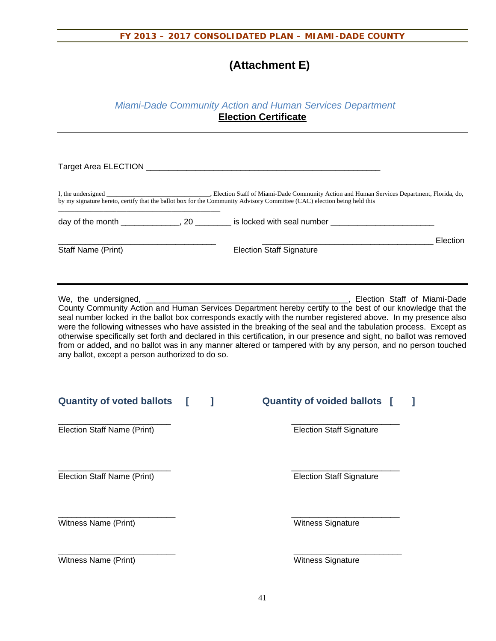# **(Attachment E)**

# *Miami-Dade Community Action and Human Services Department*  **Election Certificate**

|                                                  |   | by my signature hereto, certify that the ballot box for the Community Advisory Committee (CAC) election being held this                                                                                                                                                                                                                                                                                                                                                                                                                                                                   |          |
|--------------------------------------------------|---|-------------------------------------------------------------------------------------------------------------------------------------------------------------------------------------------------------------------------------------------------------------------------------------------------------------------------------------------------------------------------------------------------------------------------------------------------------------------------------------------------------------------------------------------------------------------------------------------|----------|
|                                                  |   | day of the month _____________, 20 _______ is locked with seal number _____________________________                                                                                                                                                                                                                                                                                                                                                                                                                                                                                       |          |
| Staff Name (Print)                               |   | <b>Election Staff Signature</b>                                                                                                                                                                                                                                                                                                                                                                                                                                                                                                                                                           | Election |
| any ballot, except a person authorized to do so. |   | County Community Action and Human Services Department hereby certify to the best of our knowledge that the<br>seal number locked in the ballot box corresponds exactly with the number registered above. In my presence also<br>were the following witnesses who have assisted in the breaking of the seal and the tabulation process. Except as<br>otherwise specifically set forth and declared in this certification, in our presence and sight, no ballot was removed<br>from or added, and no ballot was in any manner altered or tampered with by any person, and no person touched |          |
| <b>Quantity of voted ballots</b>                 | ı | <b>Quantity of voided ballots</b> [<br>J.                                                                                                                                                                                                                                                                                                                                                                                                                                                                                                                                                 |          |
| <b>Election Staff Name (Print)</b>               |   | <b>Election Staff Signature</b>                                                                                                                                                                                                                                                                                                                                                                                                                                                                                                                                                           |          |
| Election Staff Name (Print)                      |   | <b>Election Staff Signature</b>                                                                                                                                                                                                                                                                                                                                                                                                                                                                                                                                                           |          |
| Witness Name (Print)                             |   | Witness Signature                                                                                                                                                                                                                                                                                                                                                                                                                                                                                                                                                                         |          |
| Witness Name (Print)                             |   | Witness Signature                                                                                                                                                                                                                                                                                                                                                                                                                                                                                                                                                                         |          |